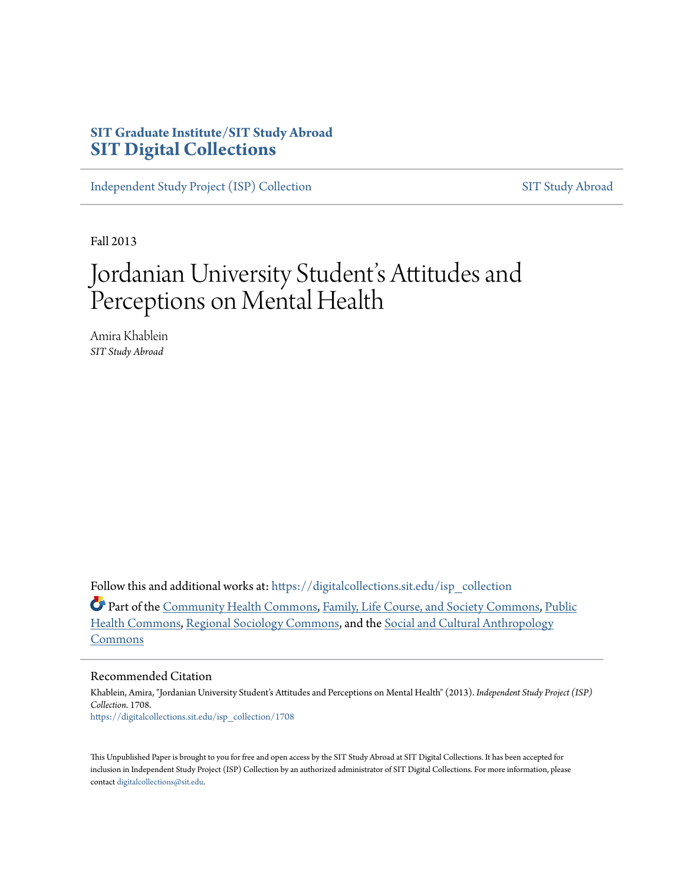## **SIT Graduate Institute/SIT Study Abroad [SIT Digital Collections](https://digitalcollections.sit.edu?utm_source=digitalcollections.sit.edu%2Fisp_collection%2F1708&utm_medium=PDF&utm_campaign=PDFCoverPages)**

[Independent Study Project \(ISP\) Collection](https://digitalcollections.sit.edu/isp_collection?utm_source=digitalcollections.sit.edu%2Fisp_collection%2F1708&utm_medium=PDF&utm_campaign=PDFCoverPages) [SIT Study Abroad](https://digitalcollections.sit.edu/study_abroad?utm_source=digitalcollections.sit.edu%2Fisp_collection%2F1708&utm_medium=PDF&utm_campaign=PDFCoverPages)

Fall 2013

# Jordanian University Student's Attitudes and Perceptions on Mental Health

Amira Khablein *SIT Study Abroad*

Follow this and additional works at: [https://digitalcollections.sit.edu/isp\\_collection](https://digitalcollections.sit.edu/isp_collection?utm_source=digitalcollections.sit.edu%2Fisp_collection%2F1708&utm_medium=PDF&utm_campaign=PDFCoverPages)

Part of the [Community Health Commons](http://network.bepress.com/hgg/discipline/714?utm_source=digitalcollections.sit.edu%2Fisp_collection%2F1708&utm_medium=PDF&utm_campaign=PDFCoverPages), [Family, Life Course, and Society Commons](http://network.bepress.com/hgg/discipline/419?utm_source=digitalcollections.sit.edu%2Fisp_collection%2F1708&utm_medium=PDF&utm_campaign=PDFCoverPages), [Public](http://network.bepress.com/hgg/discipline/738?utm_source=digitalcollections.sit.edu%2Fisp_collection%2F1708&utm_medium=PDF&utm_campaign=PDFCoverPages) [Health Commons,](http://network.bepress.com/hgg/discipline/738?utm_source=digitalcollections.sit.edu%2Fisp_collection%2F1708&utm_medium=PDF&utm_campaign=PDFCoverPages) [Regional Sociology Commons,](http://network.bepress.com/hgg/discipline/427?utm_source=digitalcollections.sit.edu%2Fisp_collection%2F1708&utm_medium=PDF&utm_campaign=PDFCoverPages) and the [Social and Cultural Anthropology](http://network.bepress.com/hgg/discipline/323?utm_source=digitalcollections.sit.edu%2Fisp_collection%2F1708&utm_medium=PDF&utm_campaign=PDFCoverPages) [Commons](http://network.bepress.com/hgg/discipline/323?utm_source=digitalcollections.sit.edu%2Fisp_collection%2F1708&utm_medium=PDF&utm_campaign=PDFCoverPages)

#### Recommended Citation

Khablein, Amira, "Jordanian University Student's Attitudes and Perceptions on Mental Health" (2013). *Independent Study Project (ISP) Collection*. 1708. [https://digitalcollections.sit.edu/isp\\_collection/1708](https://digitalcollections.sit.edu/isp_collection/1708?utm_source=digitalcollections.sit.edu%2Fisp_collection%2F1708&utm_medium=PDF&utm_campaign=PDFCoverPages)

This Unpublished Paper is brought to you for free and open access by the SIT Study Abroad at SIT Digital Collections. It has been accepted for inclusion in Independent Study Project (ISP) Collection by an authorized administrator of SIT Digital Collections. For more information, please contact [digitalcollections@sit.edu](mailto:digitalcollections@sit.edu).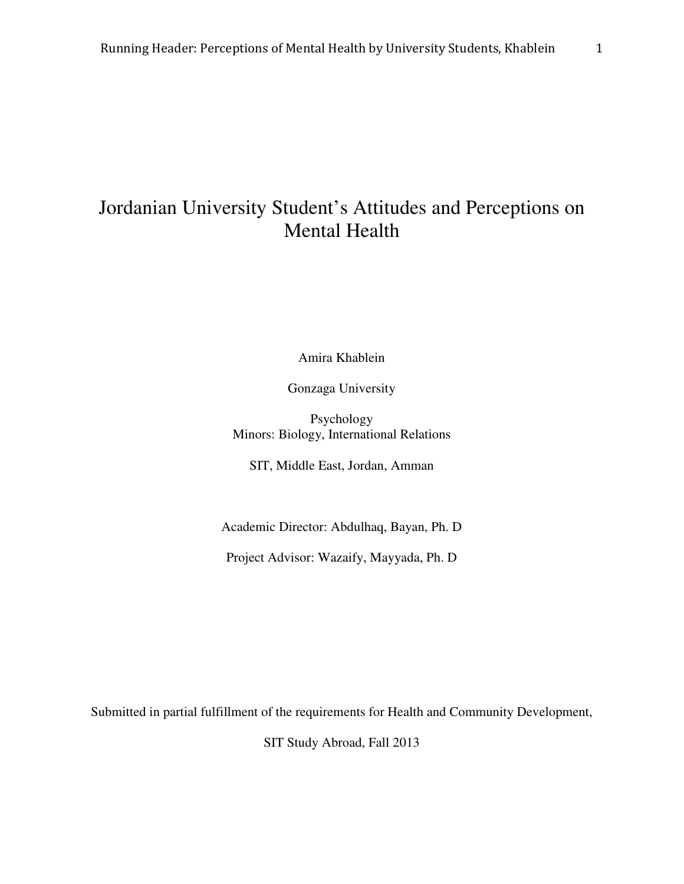## Jordanian University Student's Attitudes and Perceptions on Mental Health

Amira Khablein

Gonzaga University

Psychology Minors: Biology, International Relations

SIT, Middle East, Jordan, Amman

Academic Director: Abdulhaq, Bayan, Ph. D

Project Advisor: Wazaify, Mayyada, Ph. D

Submitted in partial fulfillment of the requirements for Health and Community Development,

SIT Study Abroad, Fall 2013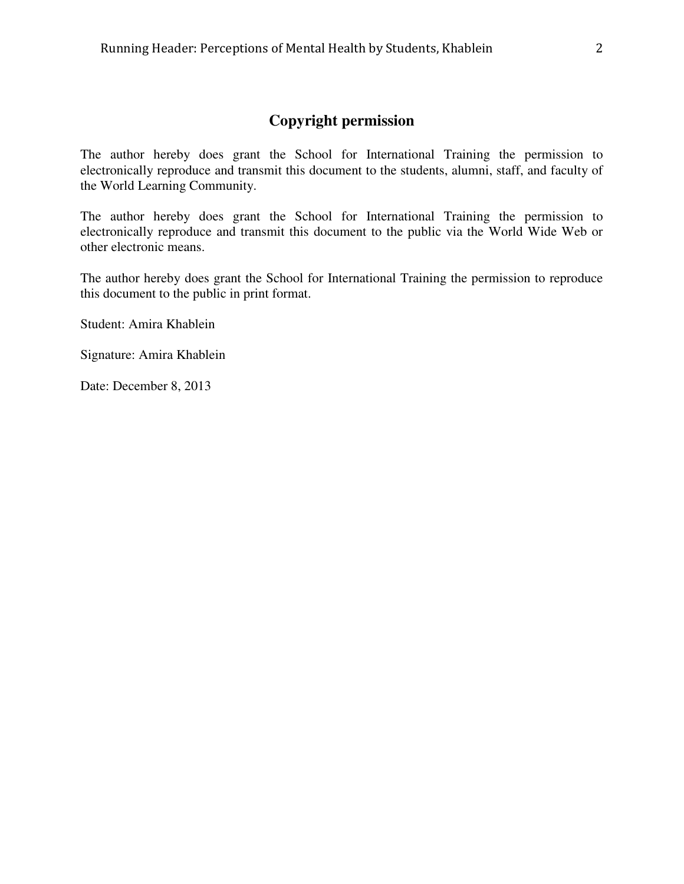## **Copyright permission**

The author hereby does grant the School for International Training the permission to electronically reproduce and transmit this document to the students, alumni, staff, and faculty of the World Learning Community.

The author hereby does grant the School for International Training the permission to electronically reproduce and transmit this document to the public via the World Wide Web or other electronic means.

The author hereby does grant the School for International Training the permission to reproduce this document to the public in print format.

Student: Amira Khablein

Signature: Amira Khablein

Date: December 8, 2013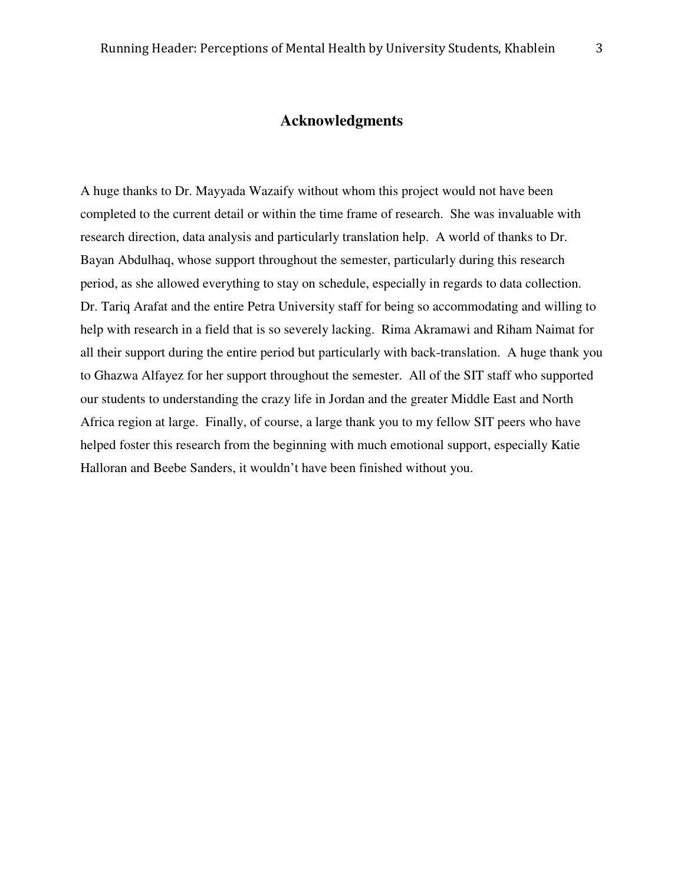#### **Acknowledgments**

A huge thanks to Dr. Mayyada Wazaify without whom this project would not have been completed to the current detail or within the time frame of research. She was invaluable with research direction, data analysis and particularly translation help. A world of thanks to Dr. Bayan Abdulhaq, whose support throughout the semester, particularly during this research period, as she allowed everything to stay on schedule, especially in regards to data collection. Dr. Tariq Arafat and the entire Petra University staff for being so accommodating and willing to help with research in a field that is so severely lacking. Rima Akramawi and Riham Naimat for all their support during the entire period but particularly with back-translation. A huge thank you to Ghazwa Alfayez for her support throughout the semester. All of the SIT staff who supported our students to understanding the crazy life in Jordan and the greater Middle East and North Africa region at large. Finally, of course, a large thank you to my fellow SIT peers who have helped foster this research from the beginning with much emotional support, especially Katie Halloran and Beebe Sanders, it wouldn't have been finished without you.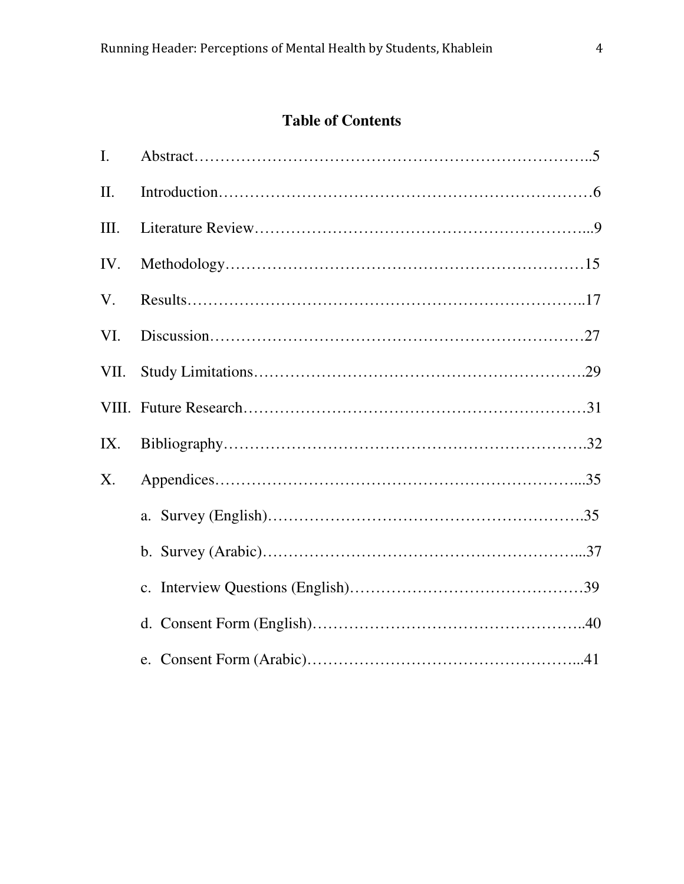## **Table of Contents**

| I.   |  |
|------|--|
| II.  |  |
| Ш.   |  |
| IV.  |  |
| V.   |  |
| VI.  |  |
| VII. |  |
|      |  |
| IX.  |  |
| X.   |  |
|      |  |
|      |  |
|      |  |
|      |  |
|      |  |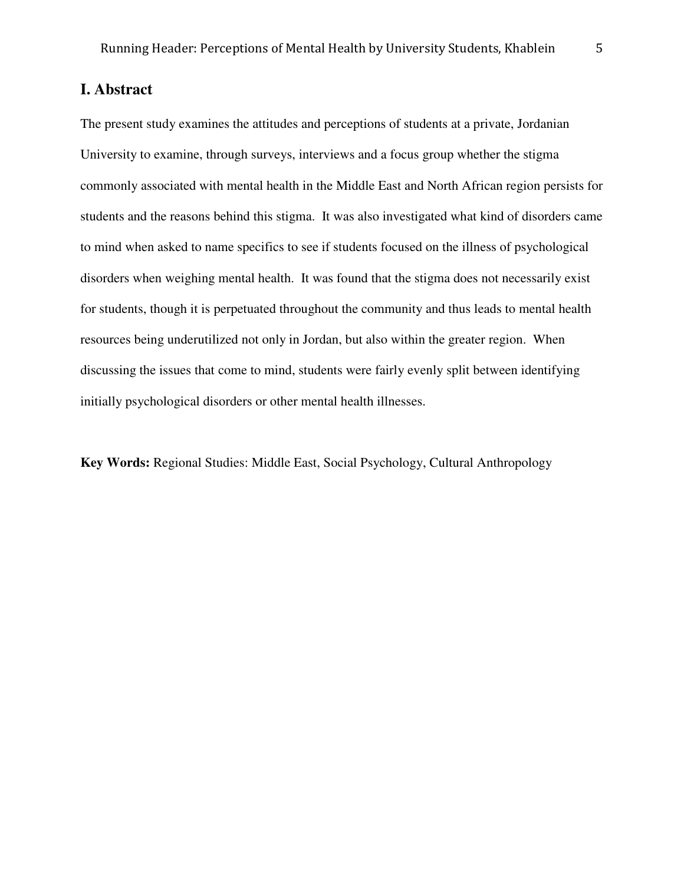## **I. Abstract**

The present study examines the attitudes and perceptions of students at a private, Jordanian University to examine, through surveys, interviews and a focus group whether the stigma commonly associated with mental health in the Middle East and North African region persists for students and the reasons behind this stigma. It was also investigated what kind of disorders came to mind when asked to name specifics to see if students focused on the illness of psychological disorders when weighing mental health. It was found that the stigma does not necessarily exist for students, though it is perpetuated throughout the community and thus leads to mental health resources being underutilized not only in Jordan, but also within the greater region. When discussing the issues that come to mind, students were fairly evenly split between identifying initially psychological disorders or other mental health illnesses.

**Key Words:** Regional Studies: Middle East, Social Psychology, Cultural Anthropology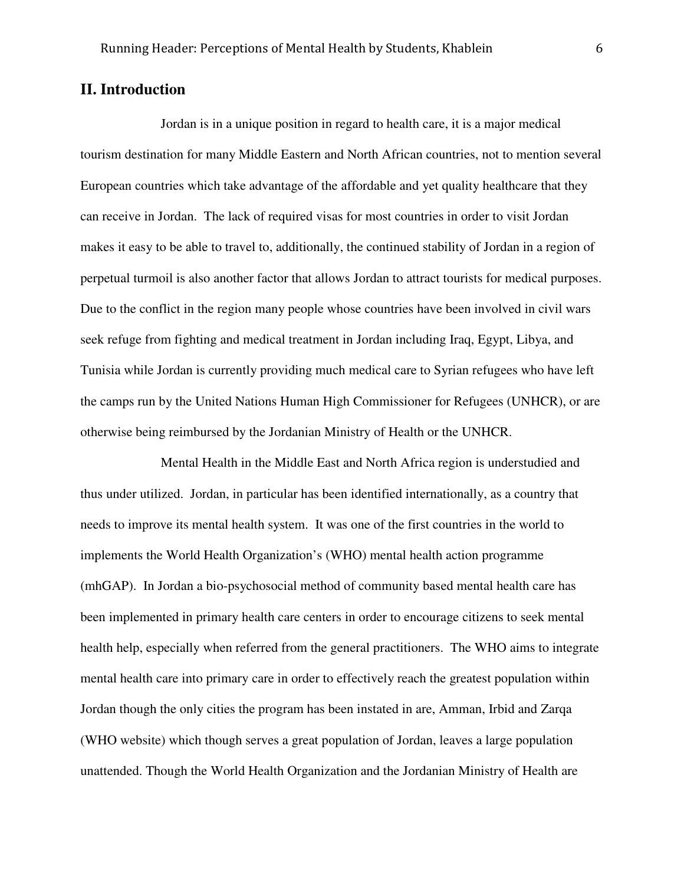#### **II. Introduction**

Jordan is in a unique position in regard to health care, it is a major medical tourism destination for many Middle Eastern and North African countries, not to mention several European countries which take advantage of the affordable and yet quality healthcare that they can receive in Jordan. The lack of required visas for most countries in order to visit Jordan makes it easy to be able to travel to, additionally, the continued stability of Jordan in a region of perpetual turmoil is also another factor that allows Jordan to attract tourists for medical purposes. Due to the conflict in the region many people whose countries have been involved in civil wars seek refuge from fighting and medical treatment in Jordan including Iraq, Egypt, Libya, and Tunisia while Jordan is currently providing much medical care to Syrian refugees who have left the camps run by the United Nations Human High Commissioner for Refugees (UNHCR), or are otherwise being reimbursed by the Jordanian Ministry of Health or the UNHCR.

Mental Health in the Middle East and North Africa region is understudied and thus under utilized. Jordan, in particular has been identified internationally, as a country that needs to improve its mental health system. It was one of the first countries in the world to implements the World Health Organization's (WHO) mental health action programme (mhGAP). In Jordan a bio-psychosocial method of community based mental health care has been implemented in primary health care centers in order to encourage citizens to seek mental health help, especially when referred from the general practitioners. The WHO aims to integrate mental health care into primary care in order to effectively reach the greatest population within Jordan though the only cities the program has been instated in are, Amman, Irbid and Zarqa (WHO website) which though serves a great population of Jordan, leaves a large population unattended. Though the World Health Organization and the Jordanian Ministry of Health are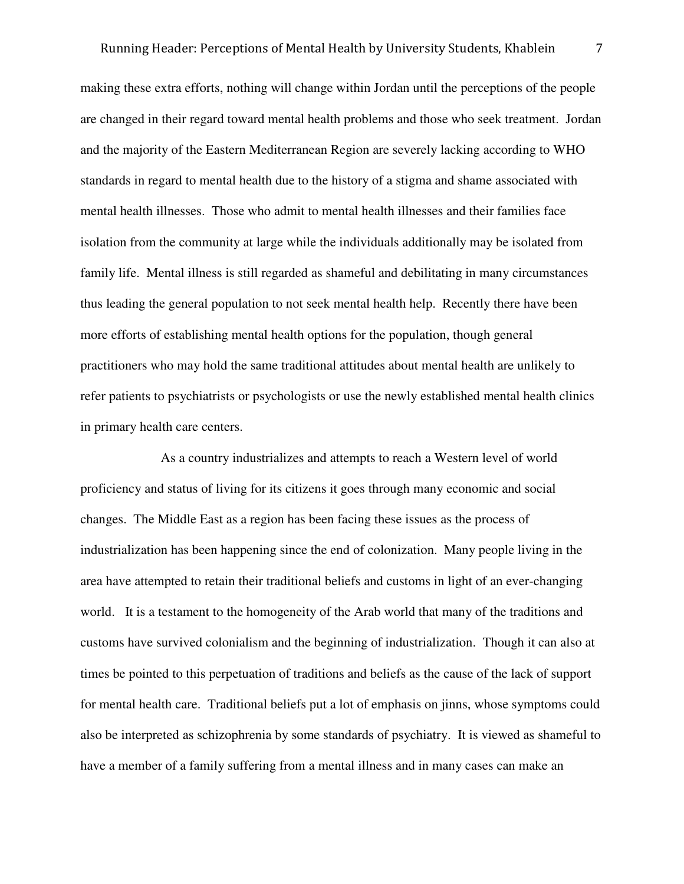making these extra efforts, nothing will change within Jordan until the perceptions of the people are changed in their regard toward mental health problems and those who seek treatment. Jordan and the majority of the Eastern Mediterranean Region are severely lacking according to WHO standards in regard to mental health due to the history of a stigma and shame associated with mental health illnesses. Those who admit to mental health illnesses and their families face isolation from the community at large while the individuals additionally may be isolated from family life. Mental illness is still regarded as shameful and debilitating in many circumstances thus leading the general population to not seek mental health help. Recently there have been more efforts of establishing mental health options for the population, though general practitioners who may hold the same traditional attitudes about mental health are unlikely to refer patients to psychiatrists or psychologists or use the newly established mental health clinics in primary health care centers.

 As a country industrializes and attempts to reach a Western level of world proficiency and status of living for its citizens it goes through many economic and social changes. The Middle East as a region has been facing these issues as the process of industrialization has been happening since the end of colonization. Many people living in the area have attempted to retain their traditional beliefs and customs in light of an ever-changing world. It is a testament to the homogeneity of the Arab world that many of the traditions and customs have survived colonialism and the beginning of industrialization. Though it can also at times be pointed to this perpetuation of traditions and beliefs as the cause of the lack of support for mental health care. Traditional beliefs put a lot of emphasis on jinns, whose symptoms could also be interpreted as schizophrenia by some standards of psychiatry. It is viewed as shameful to have a member of a family suffering from a mental illness and in many cases can make an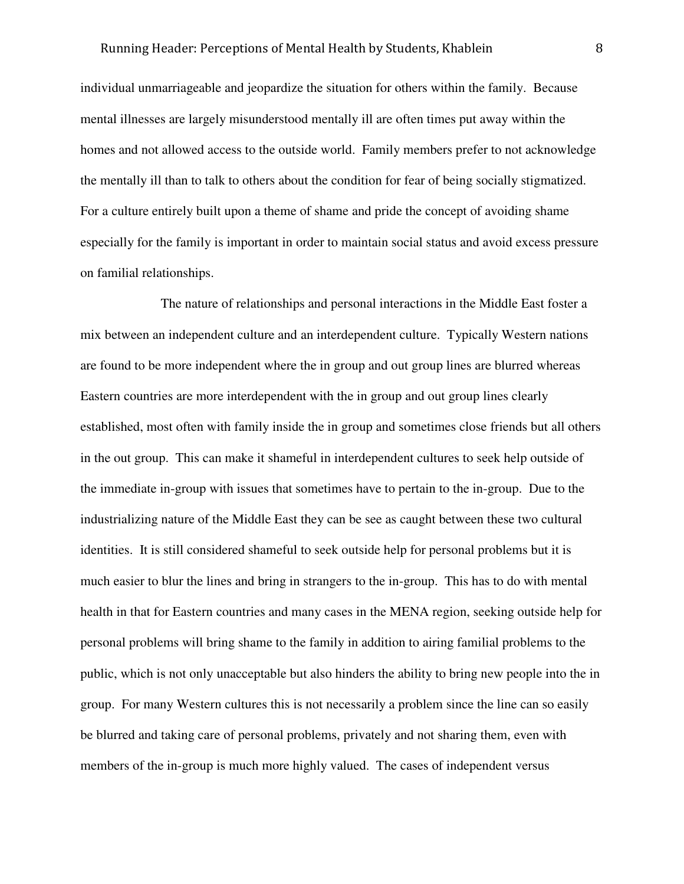individual unmarriageable and jeopardize the situation for others within the family. Because mental illnesses are largely misunderstood mentally ill are often times put away within the homes and not allowed access to the outside world. Family members prefer to not acknowledge the mentally ill than to talk to others about the condition for fear of being socially stigmatized. For a culture entirely built upon a theme of shame and pride the concept of avoiding shame especially for the family is important in order to maintain social status and avoid excess pressure on familial relationships.

 The nature of relationships and personal interactions in the Middle East foster a mix between an independent culture and an interdependent culture. Typically Western nations are found to be more independent where the in group and out group lines are blurred whereas Eastern countries are more interdependent with the in group and out group lines clearly established, most often with family inside the in group and sometimes close friends but all others in the out group. This can make it shameful in interdependent cultures to seek help outside of the immediate in-group with issues that sometimes have to pertain to the in-group. Due to the industrializing nature of the Middle East they can be see as caught between these two cultural identities. It is still considered shameful to seek outside help for personal problems but it is much easier to blur the lines and bring in strangers to the in-group. This has to do with mental health in that for Eastern countries and many cases in the MENA region, seeking outside help for personal problems will bring shame to the family in addition to airing familial problems to the public, which is not only unacceptable but also hinders the ability to bring new people into the in group. For many Western cultures this is not necessarily a problem since the line can so easily be blurred and taking care of personal problems, privately and not sharing them, even with members of the in-group is much more highly valued. The cases of independent versus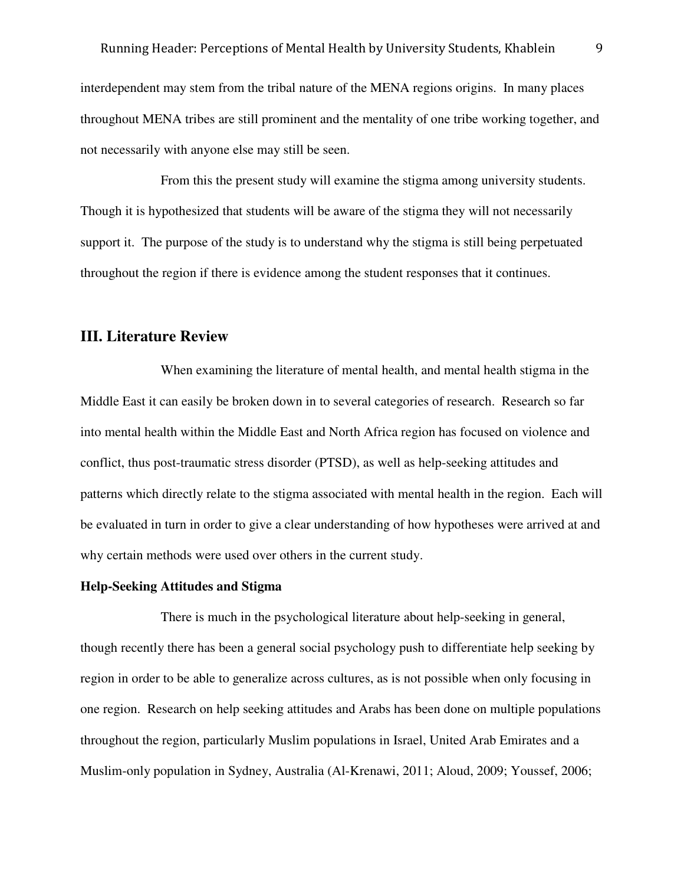interdependent may stem from the tribal nature of the MENA regions origins. In many places throughout MENA tribes are still prominent and the mentality of one tribe working together, and not necessarily with anyone else may still be seen.

 From this the present study will examine the stigma among university students. Though it is hypothesized that students will be aware of the stigma they will not necessarily support it. The purpose of the study is to understand why the stigma is still being perpetuated throughout the region if there is evidence among the student responses that it continues.

#### **III. Literature Review**

 When examining the literature of mental health, and mental health stigma in the Middle East it can easily be broken down in to several categories of research. Research so far into mental health within the Middle East and North Africa region has focused on violence and conflict, thus post-traumatic stress disorder (PTSD), as well as help-seeking attitudes and patterns which directly relate to the stigma associated with mental health in the region. Each will be evaluated in turn in order to give a clear understanding of how hypotheses were arrived at and why certain methods were used over others in the current study.

#### **Help-Seeking Attitudes and Stigma**

 There is much in the psychological literature about help-seeking in general, though recently there has been a general social psychology push to differentiate help seeking by region in order to be able to generalize across cultures, as is not possible when only focusing in one region. Research on help seeking attitudes and Arabs has been done on multiple populations throughout the region, particularly Muslim populations in Israel, United Arab Emirates and a Muslim-only population in Sydney, Australia (Al-Krenawi, 2011; Aloud, 2009; Youssef, 2006;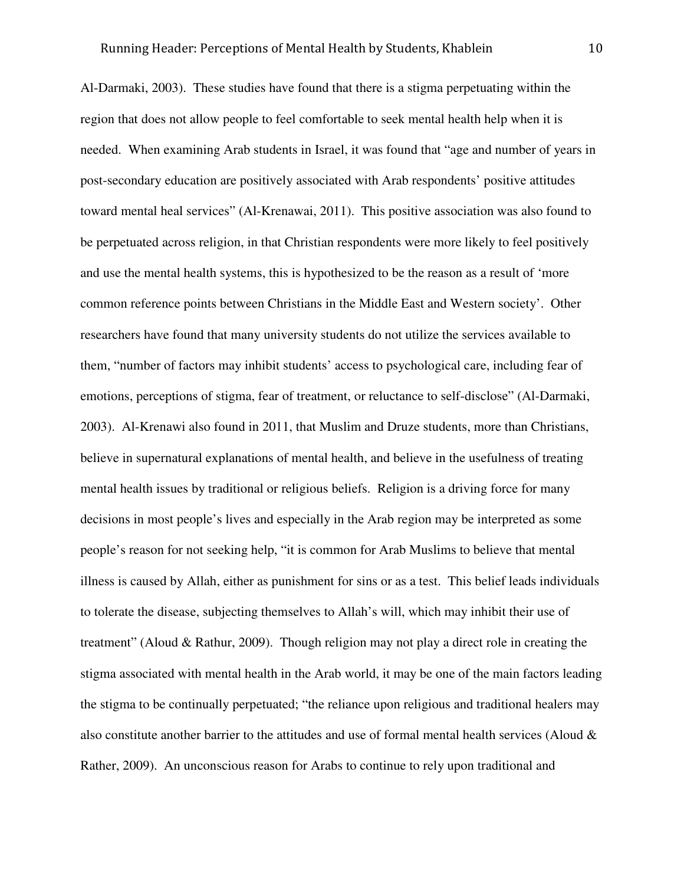Al-Darmaki, 2003). These studies have found that there is a stigma perpetuating within the region that does not allow people to feel comfortable to seek mental health help when it is needed. When examining Arab students in Israel, it was found that "age and number of years in post-secondary education are positively associated with Arab respondents' positive attitudes toward mental heal services" (Al-Krenawai, 2011). This positive association was also found to be perpetuated across religion, in that Christian respondents were more likely to feel positively and use the mental health systems, this is hypothesized to be the reason as a result of 'more common reference points between Christians in the Middle East and Western society'. Other researchers have found that many university students do not utilize the services available to them, "number of factors may inhibit students' access to psychological care, including fear of emotions, perceptions of stigma, fear of treatment, or reluctance to self-disclose" (Al-Darmaki, 2003). Al-Krenawi also found in 2011, that Muslim and Druze students, more than Christians, believe in supernatural explanations of mental health, and believe in the usefulness of treating mental health issues by traditional or religious beliefs. Religion is a driving force for many decisions in most people's lives and especially in the Arab region may be interpreted as some people's reason for not seeking help, "it is common for Arab Muslims to believe that mental illness is caused by Allah, either as punishment for sins or as a test. This belief leads individuals to tolerate the disease, subjecting themselves to Allah's will, which may inhibit their use of treatment" (Aloud & Rathur, 2009). Though religion may not play a direct role in creating the stigma associated with mental health in the Arab world, it may be one of the main factors leading the stigma to be continually perpetuated; "the reliance upon religious and traditional healers may also constitute another barrier to the attitudes and use of formal mental health services (Aloud & Rather, 2009). An unconscious reason for Arabs to continue to rely upon traditional and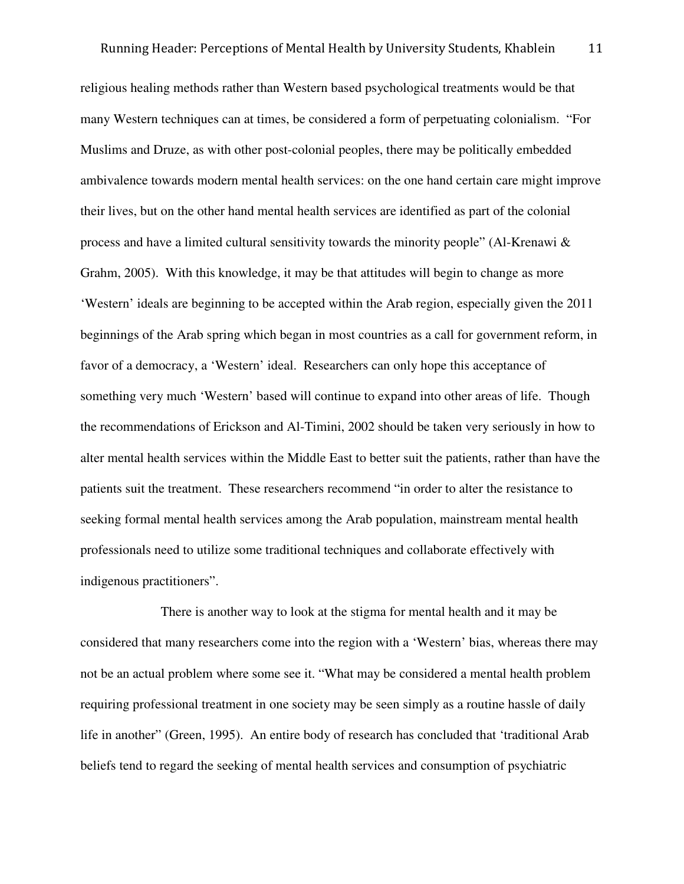religious healing methods rather than Western based psychological treatments would be that many Western techniques can at times, be considered a form of perpetuating colonialism. "For Muslims and Druze, as with other post-colonial peoples, there may be politically embedded ambivalence towards modern mental health services: on the one hand certain care might improve their lives, but on the other hand mental health services are identified as part of the colonial process and have a limited cultural sensitivity towards the minority people" (Al-Krenawi & Grahm, 2005). With this knowledge, it may be that attitudes will begin to change as more 'Western' ideals are beginning to be accepted within the Arab region, especially given the 2011 beginnings of the Arab spring which began in most countries as a call for government reform, in favor of a democracy, a 'Western' ideal. Researchers can only hope this acceptance of something very much 'Western' based will continue to expand into other areas of life. Though the recommendations of Erickson and Al-Timini, 2002 should be taken very seriously in how to alter mental health services within the Middle East to better suit the patients, rather than have the patients suit the treatment. These researchers recommend "in order to alter the resistance to seeking formal mental health services among the Arab population, mainstream mental health professionals need to utilize some traditional techniques and collaborate effectively with indigenous practitioners".

 There is another way to look at the stigma for mental health and it may be considered that many researchers come into the region with a 'Western' bias, whereas there may not be an actual problem where some see it. "What may be considered a mental health problem requiring professional treatment in one society may be seen simply as a routine hassle of daily life in another" (Green, 1995). An entire body of research has concluded that 'traditional Arab beliefs tend to regard the seeking of mental health services and consumption of psychiatric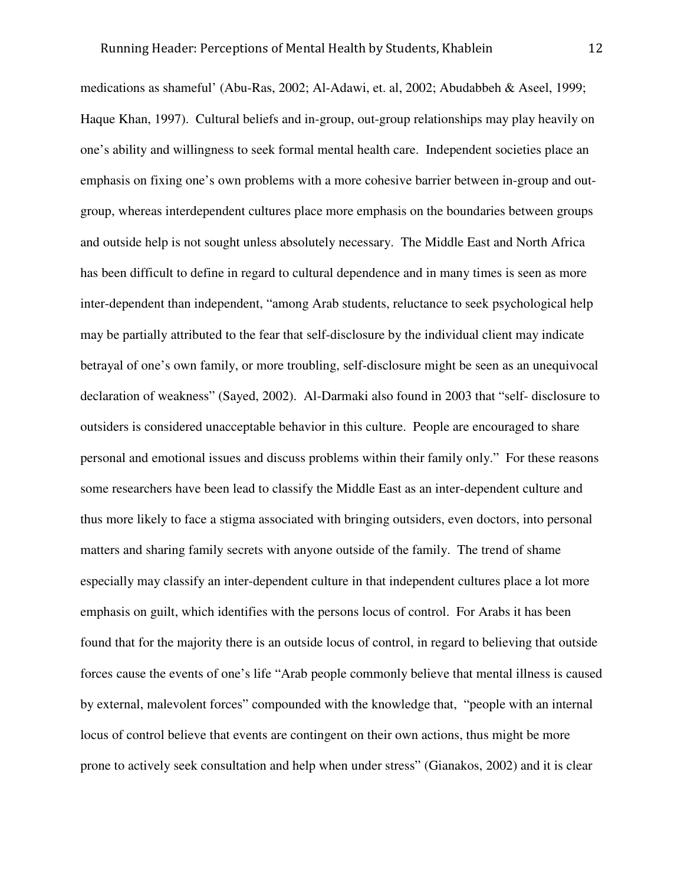medications as shameful' (Abu-Ras, 2002; Al-Adawi, et. al, 2002; Abudabbeh & Aseel, 1999; Haque Khan, 1997). Cultural beliefs and in-group, out-group relationships may play heavily on one's ability and willingness to seek formal mental health care. Independent societies place an emphasis on fixing one's own problems with a more cohesive barrier between in-group and outgroup, whereas interdependent cultures place more emphasis on the boundaries between groups and outside help is not sought unless absolutely necessary. The Middle East and North Africa has been difficult to define in regard to cultural dependence and in many times is seen as more inter-dependent than independent, "among Arab students, reluctance to seek psychological help may be partially attributed to the fear that self-disclosure by the individual client may indicate betrayal of one's own family, or more troubling, self-disclosure might be seen as an unequivocal declaration of weakness" (Sayed, 2002). Al-Darmaki also found in 2003 that "self- disclosure to outsiders is considered unacceptable behavior in this culture. People are encouraged to share personal and emotional issues and discuss problems within their family only." For these reasons some researchers have been lead to classify the Middle East as an inter-dependent culture and thus more likely to face a stigma associated with bringing outsiders, even doctors, into personal matters and sharing family secrets with anyone outside of the family. The trend of shame especially may classify an inter-dependent culture in that independent cultures place a lot more emphasis on guilt, which identifies with the persons locus of control. For Arabs it has been found that for the majority there is an outside locus of control, in regard to believing that outside forces cause the events of one's life "Arab people commonly believe that mental illness is caused by external, malevolent forces" compounded with the knowledge that, "people with an internal locus of control believe that events are contingent on their own actions, thus might be more prone to actively seek consultation and help when under stress" (Gianakos, 2002) and it is clear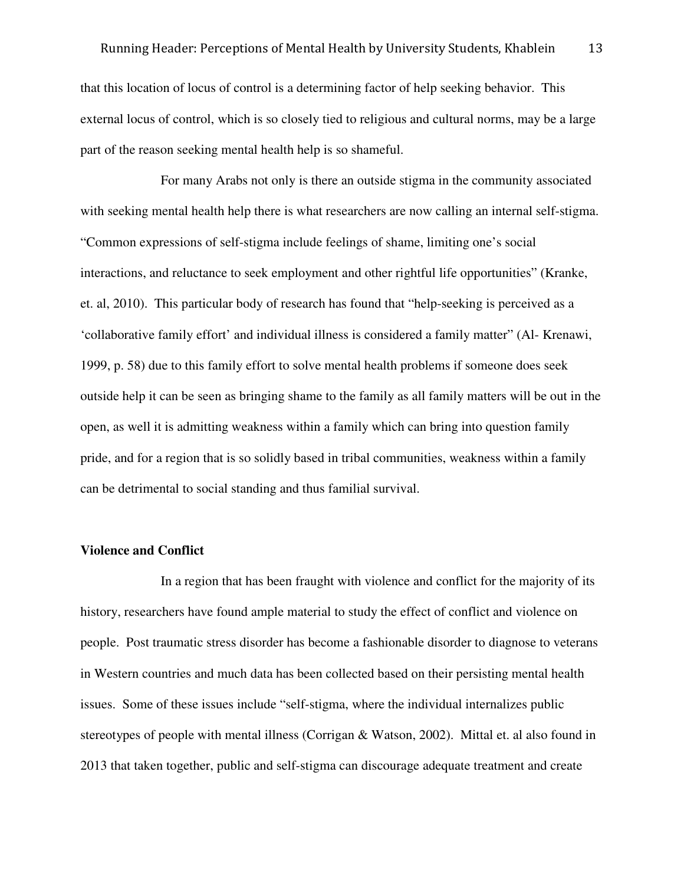that this location of locus of control is a determining factor of help seeking behavior. This external locus of control, which is so closely tied to religious and cultural norms, may be a large part of the reason seeking mental health help is so shameful.

 For many Arabs not only is there an outside stigma in the community associated with seeking mental health help there is what researchers are now calling an internal self-stigma. "Common expressions of self-stigma include feelings of shame, limiting one's social interactions, and reluctance to seek employment and other rightful life opportunities" (Kranke, et. al, 2010). This particular body of research has found that "help-seeking is perceived as a 'collaborative family effort' and individual illness is considered a family matter" (Al- Krenawi, 1999, p. 58) due to this family effort to solve mental health problems if someone does seek outside help it can be seen as bringing shame to the family as all family matters will be out in the open, as well it is admitting weakness within a family which can bring into question family pride, and for a region that is so solidly based in tribal communities, weakness within a family can be detrimental to social standing and thus familial survival.

#### **Violence and Conflict**

 In a region that has been fraught with violence and conflict for the majority of its history, researchers have found ample material to study the effect of conflict and violence on people. Post traumatic stress disorder has become a fashionable disorder to diagnose to veterans in Western countries and much data has been collected based on their persisting mental health issues. Some of these issues include "self-stigma, where the individual internalizes public stereotypes of people with mental illness (Corrigan & Watson, 2002). Mittal et. al also found in 2013 that taken together, public and self-stigma can discourage adequate treatment and create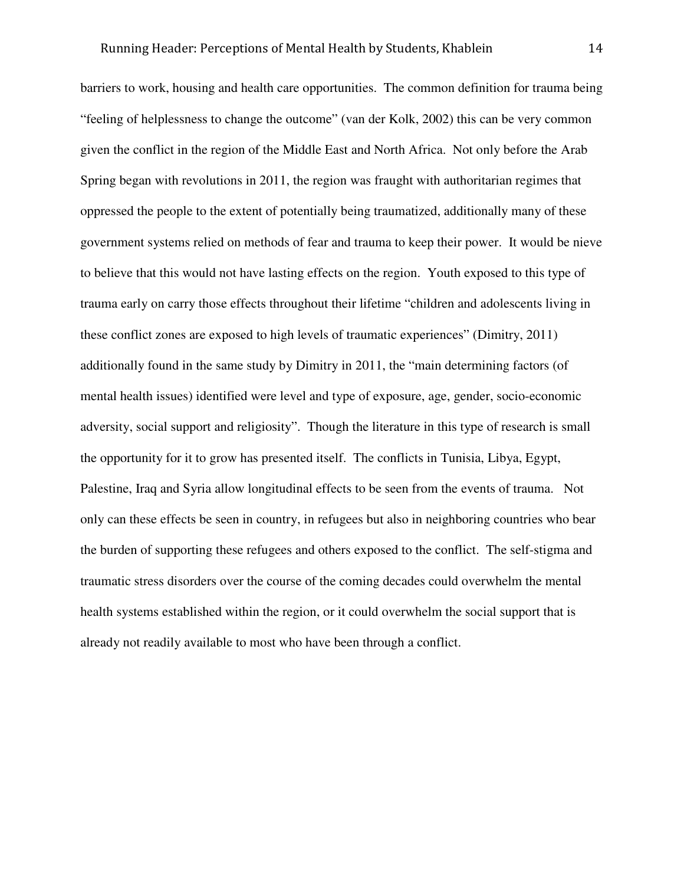barriers to work, housing and health care opportunities. The common definition for trauma being "feeling of helplessness to change the outcome" (van der Kolk, 2002) this can be very common given the conflict in the region of the Middle East and North Africa. Not only before the Arab Spring began with revolutions in 2011, the region was fraught with authoritarian regimes that oppressed the people to the extent of potentially being traumatized, additionally many of these government systems relied on methods of fear and trauma to keep their power. It would be nieve to believe that this would not have lasting effects on the region. Youth exposed to this type of trauma early on carry those effects throughout their lifetime "children and adolescents living in these conflict zones are exposed to high levels of traumatic experiences" (Dimitry, 2011) additionally found in the same study by Dimitry in 2011, the "main determining factors (of mental health issues) identified were level and type of exposure, age, gender, socio-economic adversity, social support and religiosity". Though the literature in this type of research is small the opportunity for it to grow has presented itself. The conflicts in Tunisia, Libya, Egypt, Palestine, Iraq and Syria allow longitudinal effects to be seen from the events of trauma. Not only can these effects be seen in country, in refugees but also in neighboring countries who bear the burden of supporting these refugees and others exposed to the conflict. The self-stigma and traumatic stress disorders over the course of the coming decades could overwhelm the mental health systems established within the region, or it could overwhelm the social support that is already not readily available to most who have been through a conflict.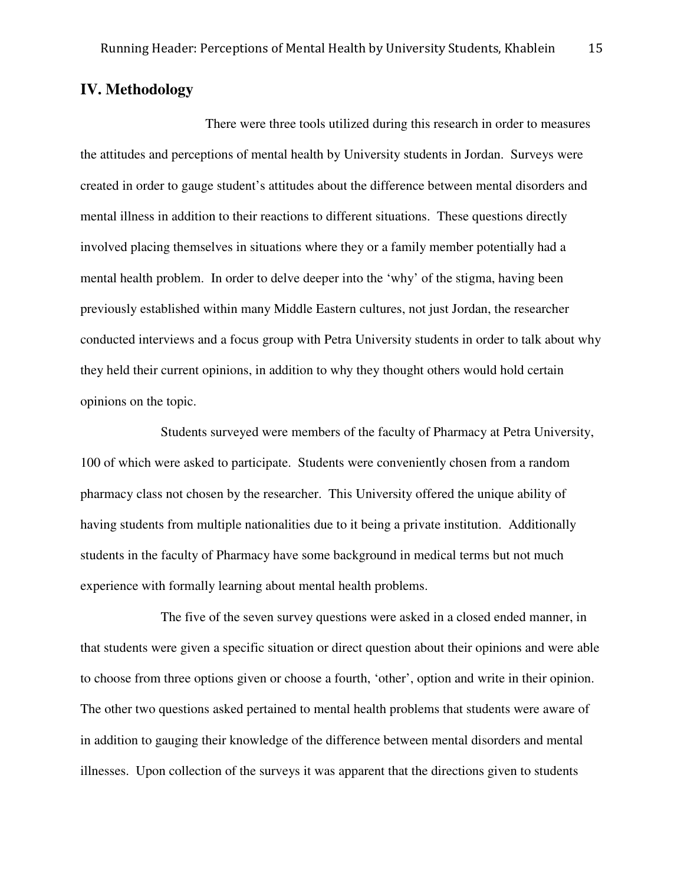## **IV. Methodology**

There were three tools utilized during this research in order to measures the attitudes and perceptions of mental health by University students in Jordan. Surveys were created in order to gauge student's attitudes about the difference between mental disorders and mental illness in addition to their reactions to different situations. These questions directly involved placing themselves in situations where they or a family member potentially had a mental health problem. In order to delve deeper into the 'why' of the stigma, having been previously established within many Middle Eastern cultures, not just Jordan, the researcher conducted interviews and a focus group with Petra University students in order to talk about why they held their current opinions, in addition to why they thought others would hold certain opinions on the topic.

Students surveyed were members of the faculty of Pharmacy at Petra University, 100 of which were asked to participate. Students were conveniently chosen from a random pharmacy class not chosen by the researcher. This University offered the unique ability of having students from multiple nationalities due to it being a private institution. Additionally students in the faculty of Pharmacy have some background in medical terms but not much experience with formally learning about mental health problems.

The five of the seven survey questions were asked in a closed ended manner, in that students were given a specific situation or direct question about their opinions and were able to choose from three options given or choose a fourth, 'other', option and write in their opinion. The other two questions asked pertained to mental health problems that students were aware of in addition to gauging their knowledge of the difference between mental disorders and mental illnesses. Upon collection of the surveys it was apparent that the directions given to students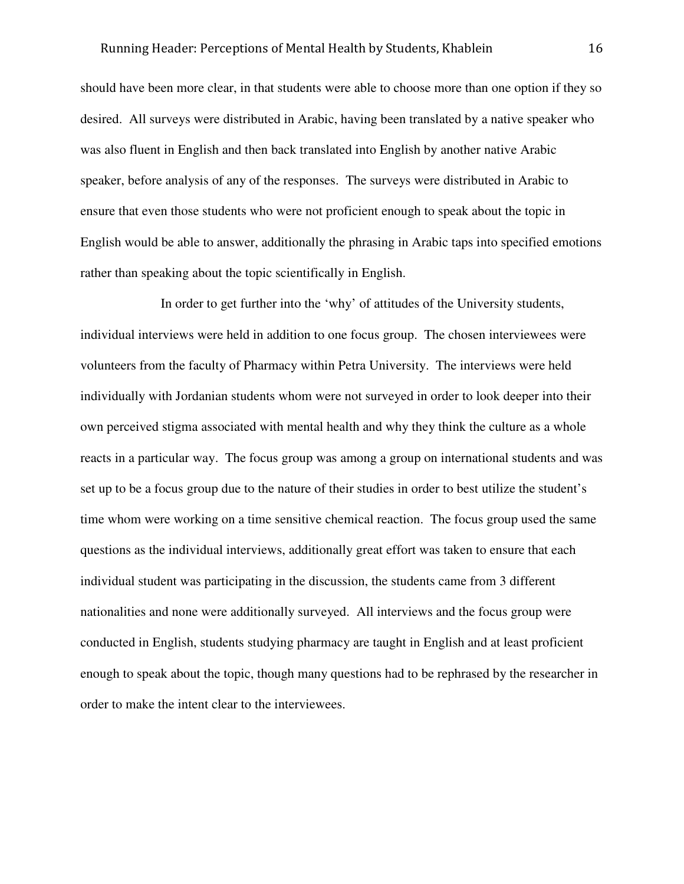should have been more clear, in that students were able to choose more than one option if they so desired. All surveys were distributed in Arabic, having been translated by a native speaker who was also fluent in English and then back translated into English by another native Arabic speaker, before analysis of any of the responses. The surveys were distributed in Arabic to ensure that even those students who were not proficient enough to speak about the topic in English would be able to answer, additionally the phrasing in Arabic taps into specified emotions rather than speaking about the topic scientifically in English.

In order to get further into the 'why' of attitudes of the University students, individual interviews were held in addition to one focus group. The chosen interviewees were volunteers from the faculty of Pharmacy within Petra University. The interviews were held individually with Jordanian students whom were not surveyed in order to look deeper into their own perceived stigma associated with mental health and why they think the culture as a whole reacts in a particular way. The focus group was among a group on international students and was set up to be a focus group due to the nature of their studies in order to best utilize the student's time whom were working on a time sensitive chemical reaction. The focus group used the same questions as the individual interviews, additionally great effort was taken to ensure that each individual student was participating in the discussion, the students came from 3 different nationalities and none were additionally surveyed. All interviews and the focus group were conducted in English, students studying pharmacy are taught in English and at least proficient enough to speak about the topic, though many questions had to be rephrased by the researcher in order to make the intent clear to the interviewees.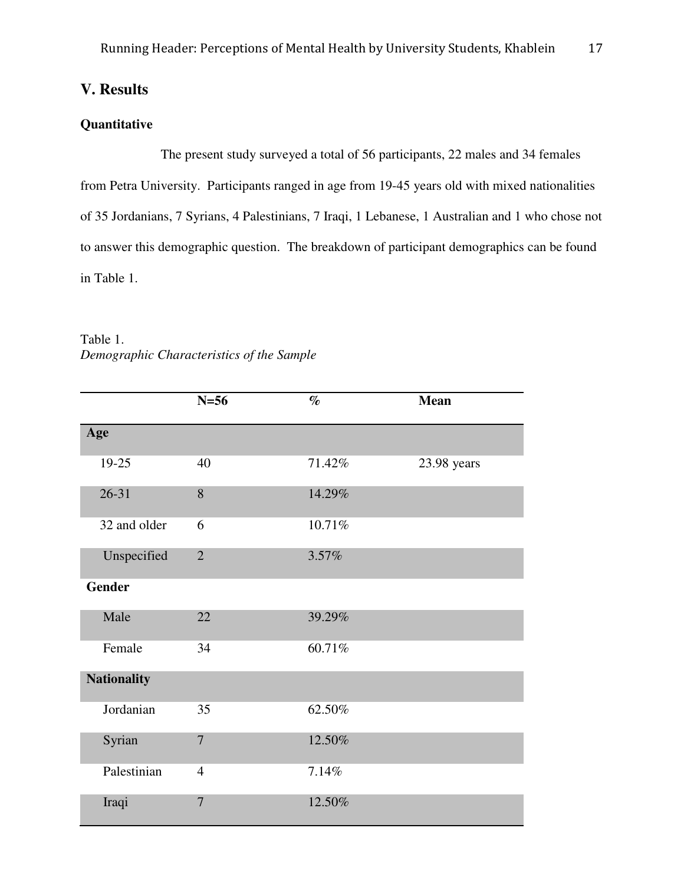## **V. Results**

## **Quantitative**

Table 1.

 The present study surveyed a total of 56 participants, 22 males and 34 females from Petra University. Participants ranged in age from 19-45 years old with mixed nationalities of 35 Jordanians, 7 Syrians, 4 Palestinians, 7 Iraqi, 1 Lebanese, 1 Australian and 1 who chose not to answer this demographic question. The breakdown of participant demographics can be found in Table 1.

| Tavit I.<br>Demographic Characteristics of the Sample |                             |
|-------------------------------------------------------|-----------------------------|
| $N = 56$                                              | $\mathcal{O}_{\mathcal{D}}$ |

|                    | $N=56$         | $\%$   | <b>Mean</b> |
|--------------------|----------------|--------|-------------|
| Age                |                |        |             |
| 19-25              | 40             | 71.42% | 23.98 years |
| $26 - 31$          | 8              | 14.29% |             |
| 32 and older       | 6              | 10.71% |             |
| Unspecified        | $\overline{2}$ | 3.57%  |             |
| <b>Gender</b>      |                |        |             |
| Male               | 22             | 39.29% |             |
| Female             | 34             | 60.71% |             |
| <b>Nationality</b> |                |        |             |
| Jordanian          | 35             | 62.50% |             |
| Syrian             | $\overline{7}$ | 12.50% |             |
| Palestinian        | $\overline{4}$ | 7.14%  |             |
| Iraqi              | $\overline{7}$ | 12.50% |             |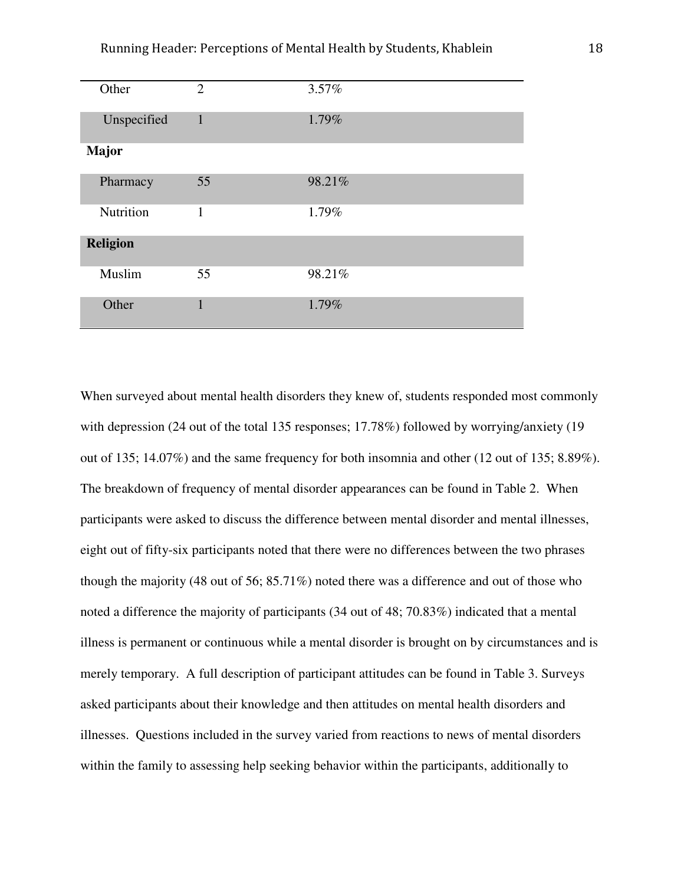| Other           | $\overline{2}$ | 3.57%  |
|-----------------|----------------|--------|
| Unspecified     | $\mathbf{1}$   | 1.79%  |
| <b>Major</b>    |                |        |
| Pharmacy        | 55             | 98.21% |
| Nutrition       | $\mathbf{1}$   | 1.79%  |
| <b>Religion</b> |                |        |
| Muslim          | 55             | 98.21% |
| Other           | $\mathbf{1}$   | 1.79%  |

When surveyed about mental health disorders they knew of, students responded most commonly with depression (24 out of the total 135 responses; 17.78%) followed by worrying/anxiety (19 out of 135; 14.07%) and the same frequency for both insomnia and other (12 out of 135; 8.89%). The breakdown of frequency of mental disorder appearances can be found in Table 2. When participants were asked to discuss the difference between mental disorder and mental illnesses, eight out of fifty-six participants noted that there were no differences between the two phrases though the majority (48 out of 56; 85.71%) noted there was a difference and out of those who noted a difference the majority of participants (34 out of 48; 70.83%) indicated that a mental illness is permanent or continuous while a mental disorder is brought on by circumstances and is merely temporary. A full description of participant attitudes can be found in Table 3. Surveys asked participants about their knowledge and then attitudes on mental health disorders and illnesses. Questions included in the survey varied from reactions to news of mental disorders within the family to assessing help seeking behavior within the participants, additionally to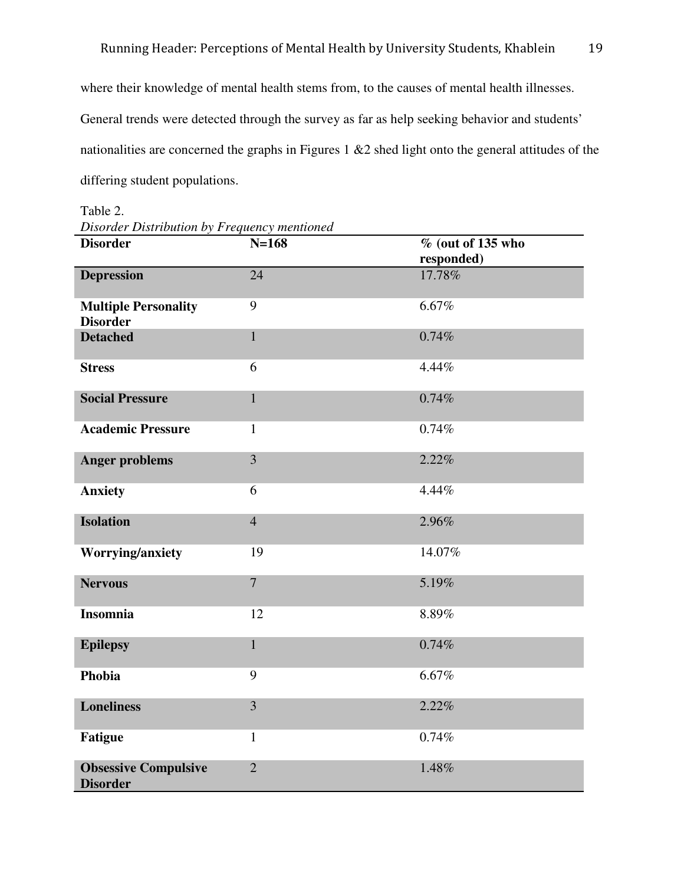where their knowledge of mental health stems from, to the causes of mental health illnesses. General trends were detected through the survey as far as help seeking behavior and students' nationalities are concerned the graphs in Figures 1 &2 shed light onto the general attitudes of the differing student populations.

| sorder Bush to divolt of 1 requeste, mentioned<br><b>Disorder</b> | $N = 168$       | $\%$ (out of 135 who<br>responded) |
|-------------------------------------------------------------------|-----------------|------------------------------------|
| <b>Depression</b>                                                 | $\overline{24}$ | 17.78%                             |
| <b>Multiple Personality</b><br><b>Disorder</b>                    | 9               | 6.67%                              |
| <b>Detached</b>                                                   | $\mathbf{1}$    | 0.74%                              |
| <b>Stress</b>                                                     | 6               | 4.44%                              |
| <b>Social Pressure</b>                                            | $\mathbf{1}$    | 0.74%                              |
| <b>Academic Pressure</b>                                          | $\mathbf{1}$    | 0.74%                              |
| <b>Anger problems</b>                                             | $\overline{3}$  | 2.22%                              |
| <b>Anxiety</b>                                                    | 6               | 4.44%                              |
| <b>Isolation</b>                                                  | $\overline{4}$  | 2.96%                              |
| <b>Worrying/anxiety</b>                                           | 19              | 14.07%                             |
| <b>Nervous</b>                                                    | $\overline{7}$  | 5.19%                              |
| <b>Insomnia</b>                                                   | 12              | 8.89%                              |
| <b>Epilepsy</b>                                                   | $\mathbf{1}$    | 0.74%                              |
| Phobia                                                            | 9               | 6.67%                              |
| <b>Loneliness</b>                                                 | 3               | 2.22%                              |
| <b>Fatigue</b>                                                    | $\mathbf{1}$    | 0.74%                              |
| <b>Obsessive Compulsive</b><br><b>Disorder</b>                    | $\overline{2}$  | 1.48%                              |

Table 2.

*Disorder Distribution by Frequency mentioned*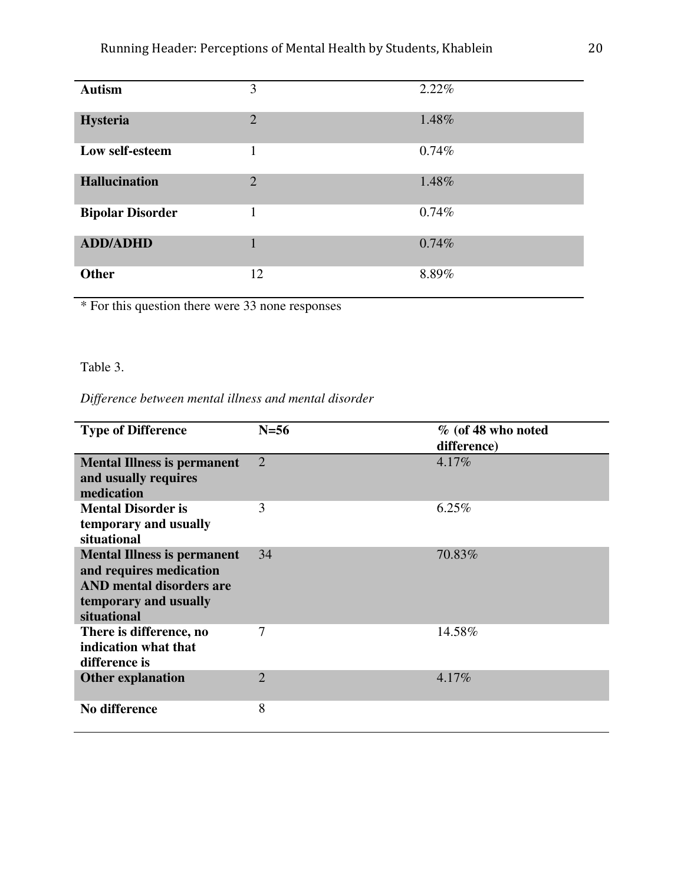| <b>Autism</b>           | 3              | 2.22% |
|-------------------------|----------------|-------|
| <b>Hysteria</b>         | $\overline{2}$ | 1.48% |
| Low self-esteem         | 1              | 0.74% |
| <b>Hallucination</b>    | 2              | 1.48% |
| <b>Bipolar Disorder</b> |                | 0.74% |
| <b>ADD/ADHD</b>         |                | 0.74% |
| <b>Other</b>            | 12             | 8.89% |

\* For this question there were 33 none responses

## Table 3.

### *Difference between mental illness and mental disorder*

| <b>Type of Difference</b>                                                                                                                | $N=56$         | % (of 48 who noted<br>difference) |
|------------------------------------------------------------------------------------------------------------------------------------------|----------------|-----------------------------------|
| <b>Mental Illness is permanent</b><br>and usually requires<br>medication                                                                 | $\overline{2}$ | 4.17%                             |
| <b>Mental Disorder is</b><br>temporary and usually<br>situational                                                                        | 3              | 6.25%                             |
| <b>Mental Illness is permanent</b><br>and requires medication<br><b>AND</b> mental disorders are<br>temporary and usually<br>situational | 34             | 70.83%                            |
| There is difference, no<br>indication what that<br>difference is                                                                         | 7              | 14.58%                            |
| <b>Other explanation</b>                                                                                                                 | $\overline{2}$ | 4.17%                             |
| <b>No difference</b>                                                                                                                     | 8              |                                   |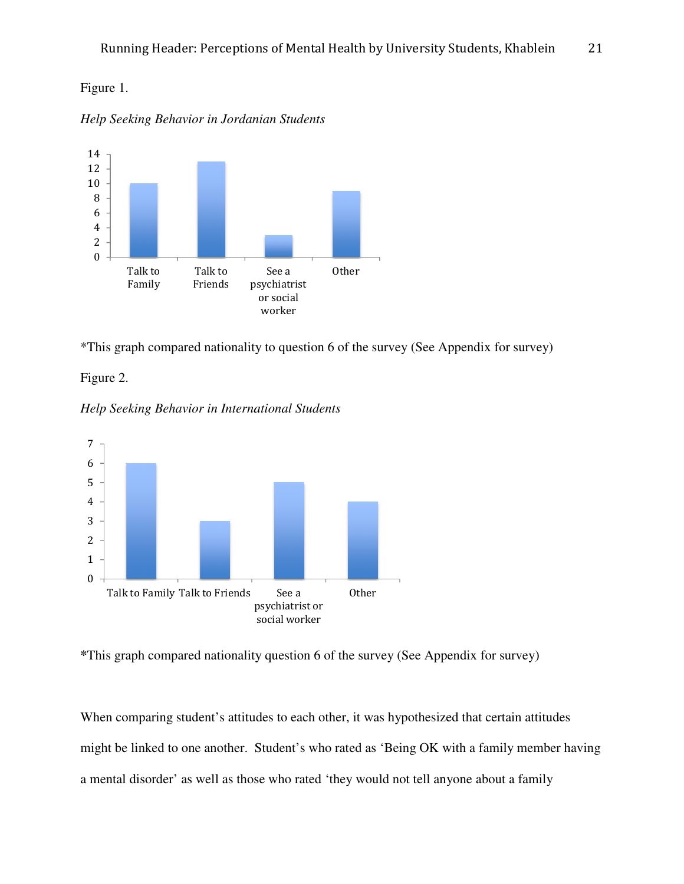## Figure 1.

*Help Seeking Behavior in Jordanian Students*



\*This graph compared nationality to question 6 of the survey (See Appendix for survey)



*Help Seeking Behavior in International Students*



**<sup>\*</sup>**This graph compared nationality question 6 of the survey (See Appendix for survey)

When comparing student's attitudes to each other, it was hypothesized that certain attitudes might be linked to one another. Student's who rated as 'Being OK with a family member having a mental disorder' as well as those who rated 'they would not tell anyone about a family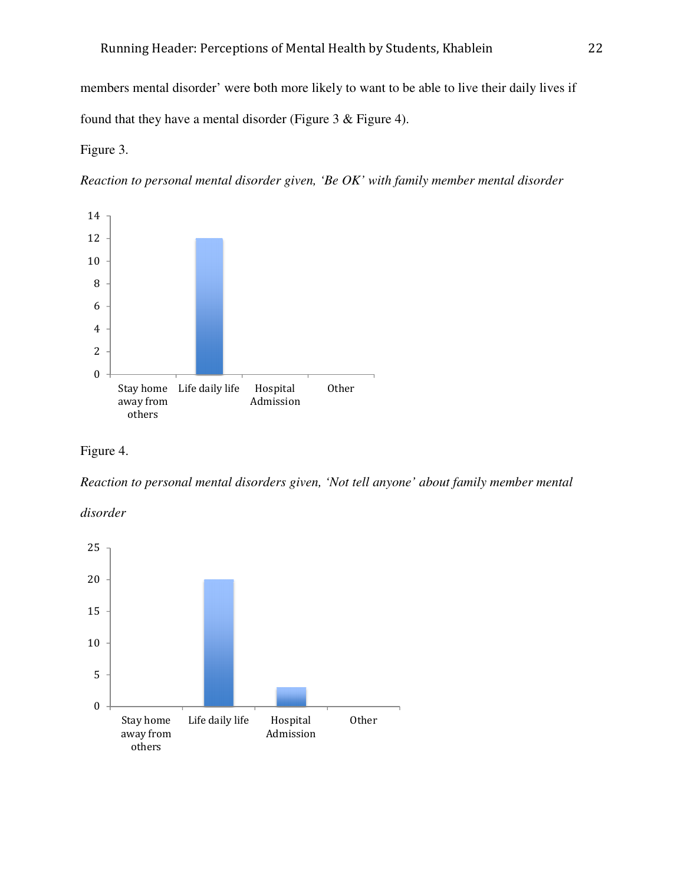members mental disorder' were both more likely to want to be able to live their daily lives if members mental disorder' were both more likely to want to be found that they have a mental disorder (Figure 3 & Figure 4).

#### Figure 3.

*Reaction to personal mental disorder given, 'Be OK' with family member mental disorder* 





*Reaction to personal mental disorders given, 'Not tell anyone' about family member mental* 



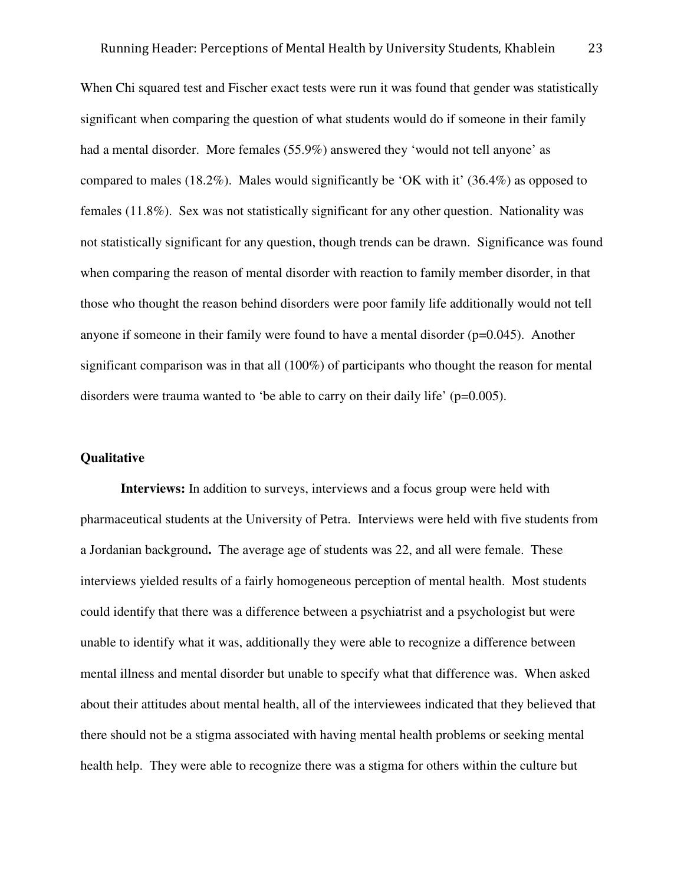When Chi squared test and Fischer exact tests were run it was found that gender was statistically significant when comparing the question of what students would do if someone in their family had a mental disorder. More females (55.9%) answered they 'would not tell anyone' as compared to males (18.2%). Males would significantly be 'OK with it' (36.4%) as opposed to females (11.8%). Sex was not statistically significant for any other question. Nationality was not statistically significant for any question, though trends can be drawn. Significance was found when comparing the reason of mental disorder with reaction to family member disorder, in that those who thought the reason behind disorders were poor family life additionally would not tell anyone if someone in their family were found to have a mental disorder  $(p=0.045)$ . Another significant comparison was in that all (100%) of participants who thought the reason for mental disorders were trauma wanted to 'be able to carry on their daily life' (p=0.005).

#### **Qualitative**

 **Interviews:** In addition to surveys, interviews and a focus group were held with pharmaceutical students at the University of Petra. Interviews were held with five students from a Jordanian background**.** The average age of students was 22, and all were female. These interviews yielded results of a fairly homogeneous perception of mental health. Most students could identify that there was a difference between a psychiatrist and a psychologist but were unable to identify what it was, additionally they were able to recognize a difference between mental illness and mental disorder but unable to specify what that difference was. When asked about their attitudes about mental health, all of the interviewees indicated that they believed that there should not be a stigma associated with having mental health problems or seeking mental health help. They were able to recognize there was a stigma for others within the culture but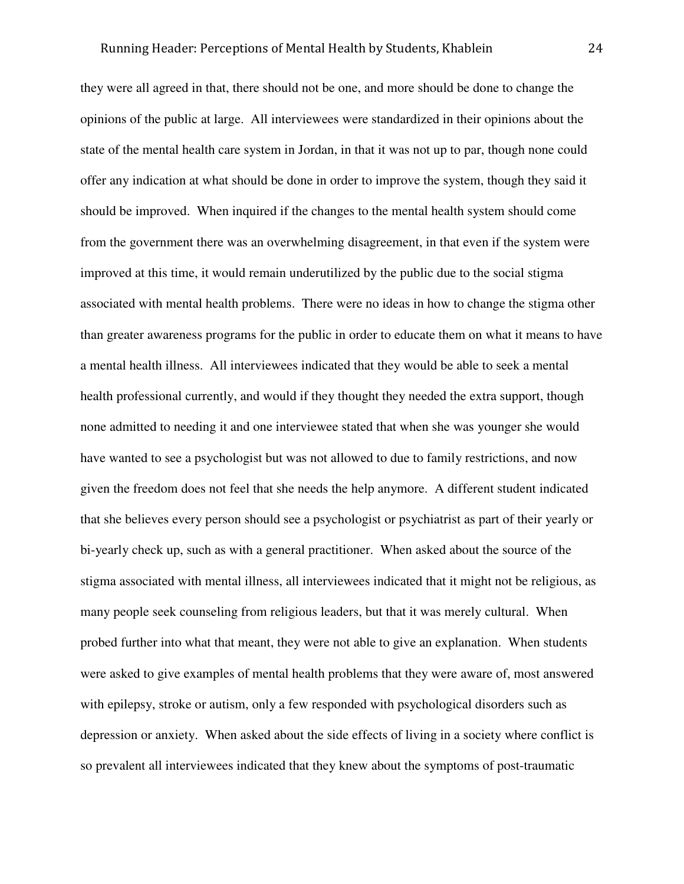they were all agreed in that, there should not be one, and more should be done to change the opinions of the public at large. All interviewees were standardized in their opinions about the state of the mental health care system in Jordan, in that it was not up to par, though none could offer any indication at what should be done in order to improve the system, though they said it should be improved. When inquired if the changes to the mental health system should come from the government there was an overwhelming disagreement, in that even if the system were improved at this time, it would remain underutilized by the public due to the social stigma associated with mental health problems. There were no ideas in how to change the stigma other than greater awareness programs for the public in order to educate them on what it means to have a mental health illness. All interviewees indicated that they would be able to seek a mental health professional currently, and would if they thought they needed the extra support, though none admitted to needing it and one interviewee stated that when she was younger she would have wanted to see a psychologist but was not allowed to due to family restrictions, and now given the freedom does not feel that she needs the help anymore. A different student indicated that she believes every person should see a psychologist or psychiatrist as part of their yearly or bi-yearly check up, such as with a general practitioner. When asked about the source of the stigma associated with mental illness, all interviewees indicated that it might not be religious, as many people seek counseling from religious leaders, but that it was merely cultural. When probed further into what that meant, they were not able to give an explanation. When students were asked to give examples of mental health problems that they were aware of, most answered with epilepsy, stroke or autism, only a few responded with psychological disorders such as depression or anxiety. When asked about the side effects of living in a society where conflict is so prevalent all interviewees indicated that they knew about the symptoms of post-traumatic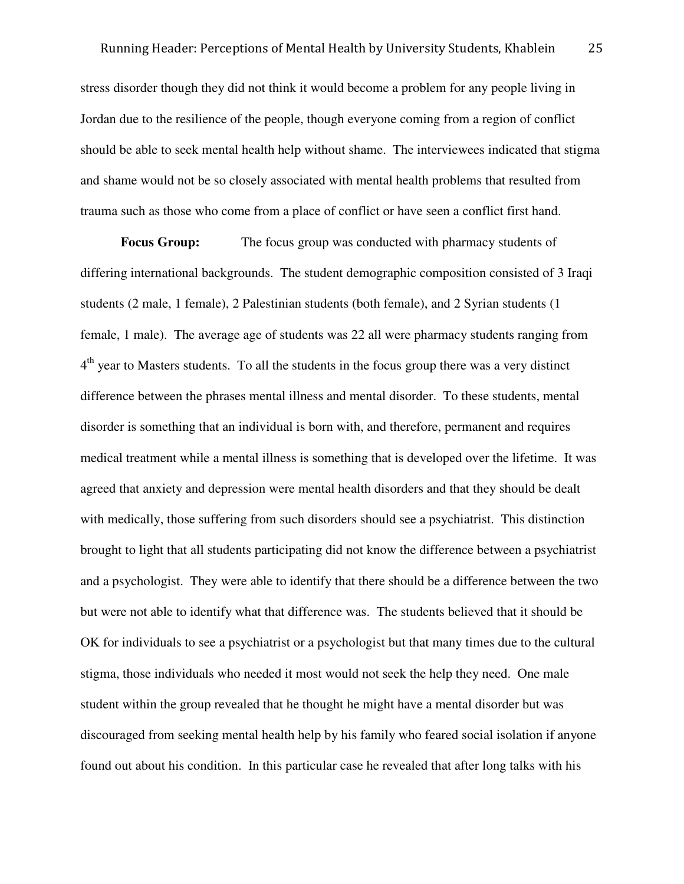stress disorder though they did not think it would become a problem for any people living in Jordan due to the resilience of the people, though everyone coming from a region of conflict should be able to seek mental health help without shame. The interviewees indicated that stigma and shame would not be so closely associated with mental health problems that resulted from trauma such as those who come from a place of conflict or have seen a conflict first hand.

**Focus Group:** The focus group was conducted with pharmacy students of differing international backgrounds. The student demographic composition consisted of 3 Iraqi students (2 male, 1 female), 2 Palestinian students (both female), and 2 Syrian students (1 female, 1 male). The average age of students was 22 all were pharmacy students ranging from 4<sup>th</sup> year to Masters students. To all the students in the focus group there was a very distinct difference between the phrases mental illness and mental disorder. To these students, mental disorder is something that an individual is born with, and therefore, permanent and requires medical treatment while a mental illness is something that is developed over the lifetime. It was agreed that anxiety and depression were mental health disorders and that they should be dealt with medically, those suffering from such disorders should see a psychiatrist. This distinction brought to light that all students participating did not know the difference between a psychiatrist and a psychologist. They were able to identify that there should be a difference between the two but were not able to identify what that difference was. The students believed that it should be OK for individuals to see a psychiatrist or a psychologist but that many times due to the cultural stigma, those individuals who needed it most would not seek the help they need. One male student within the group revealed that he thought he might have a mental disorder but was discouraged from seeking mental health help by his family who feared social isolation if anyone found out about his condition. In this particular case he revealed that after long talks with his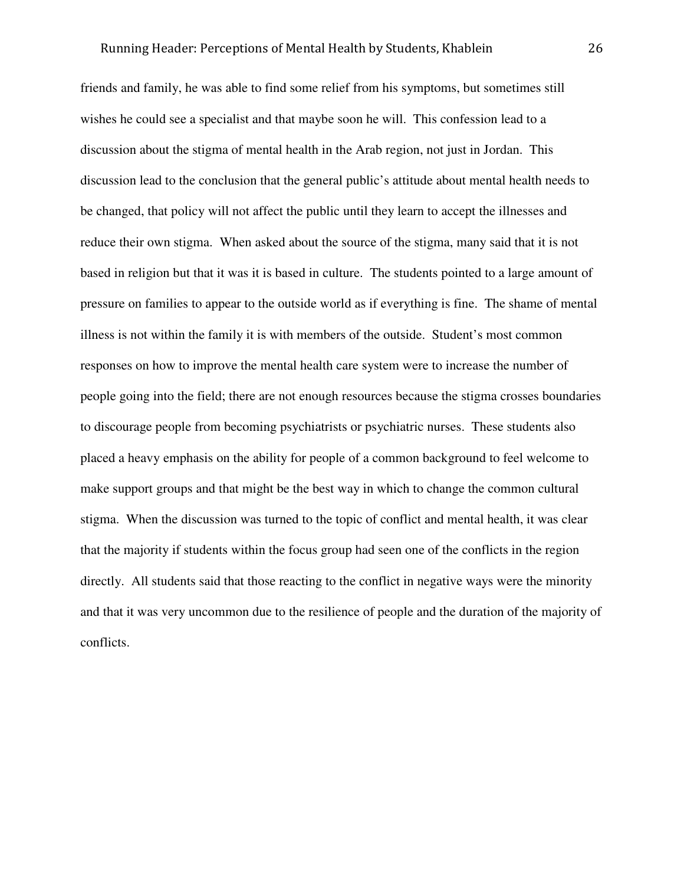friends and family, he was able to find some relief from his symptoms, but sometimes still wishes he could see a specialist and that maybe soon he will. This confession lead to a discussion about the stigma of mental health in the Arab region, not just in Jordan. This discussion lead to the conclusion that the general public's attitude about mental health needs to be changed, that policy will not affect the public until they learn to accept the illnesses and reduce their own stigma. When asked about the source of the stigma, many said that it is not based in religion but that it was it is based in culture. The students pointed to a large amount of pressure on families to appear to the outside world as if everything is fine. The shame of mental illness is not within the family it is with members of the outside. Student's most common responses on how to improve the mental health care system were to increase the number of people going into the field; there are not enough resources because the stigma crosses boundaries to discourage people from becoming psychiatrists or psychiatric nurses. These students also placed a heavy emphasis on the ability for people of a common background to feel welcome to make support groups and that might be the best way in which to change the common cultural stigma. When the discussion was turned to the topic of conflict and mental health, it was clear that the majority if students within the focus group had seen one of the conflicts in the region directly. All students said that those reacting to the conflict in negative ways were the minority and that it was very uncommon due to the resilience of people and the duration of the majority of conflicts.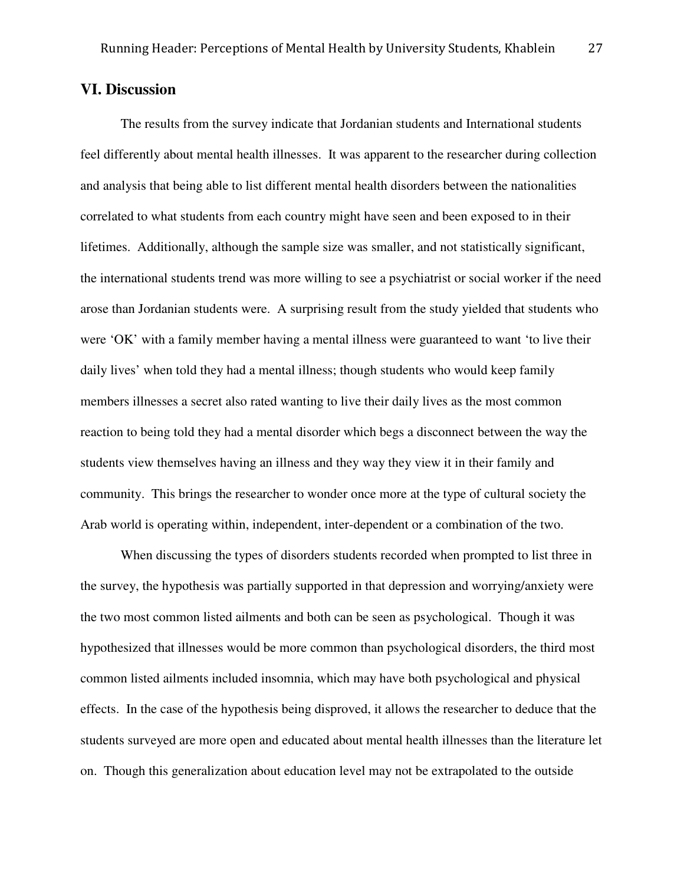#### **VI. Discussion**

 The results from the survey indicate that Jordanian students and International students feel differently about mental health illnesses. It was apparent to the researcher during collection and analysis that being able to list different mental health disorders between the nationalities correlated to what students from each country might have seen and been exposed to in their lifetimes. Additionally, although the sample size was smaller, and not statistically significant, the international students trend was more willing to see a psychiatrist or social worker if the need arose than Jordanian students were. A surprising result from the study yielded that students who were 'OK' with a family member having a mental illness were guaranteed to want 'to live their daily lives' when told they had a mental illness; though students who would keep family members illnesses a secret also rated wanting to live their daily lives as the most common reaction to being told they had a mental disorder which begs a disconnect between the way the students view themselves having an illness and they way they view it in their family and community. This brings the researcher to wonder once more at the type of cultural society the Arab world is operating within, independent, inter-dependent or a combination of the two.

 When discussing the types of disorders students recorded when prompted to list three in the survey, the hypothesis was partially supported in that depression and worrying/anxiety were the two most common listed ailments and both can be seen as psychological. Though it was hypothesized that illnesses would be more common than psychological disorders, the third most common listed ailments included insomnia, which may have both psychological and physical effects. In the case of the hypothesis being disproved, it allows the researcher to deduce that the students surveyed are more open and educated about mental health illnesses than the literature let on. Though this generalization about education level may not be extrapolated to the outside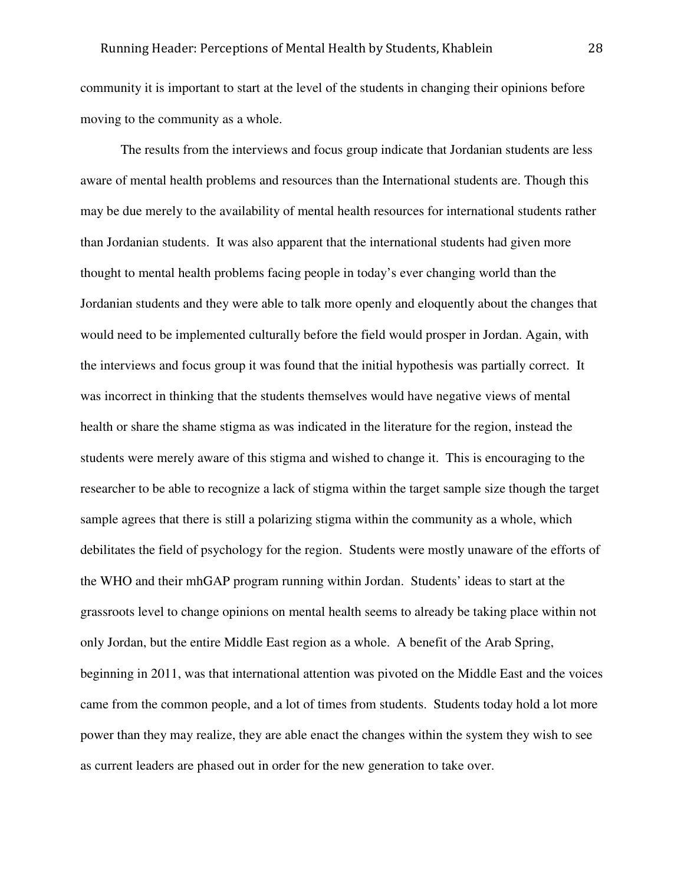community it is important to start at the level of the students in changing their opinions before moving to the community as a whole.

 The results from the interviews and focus group indicate that Jordanian students are less aware of mental health problems and resources than the International students are. Though this may be due merely to the availability of mental health resources for international students rather than Jordanian students. It was also apparent that the international students had given more thought to mental health problems facing people in today's ever changing world than the Jordanian students and they were able to talk more openly and eloquently about the changes that would need to be implemented culturally before the field would prosper in Jordan. Again, with the interviews and focus group it was found that the initial hypothesis was partially correct. It was incorrect in thinking that the students themselves would have negative views of mental health or share the shame stigma as was indicated in the literature for the region, instead the students were merely aware of this stigma and wished to change it. This is encouraging to the researcher to be able to recognize a lack of stigma within the target sample size though the target sample agrees that there is still a polarizing stigma within the community as a whole, which debilitates the field of psychology for the region. Students were mostly unaware of the efforts of the WHO and their mhGAP program running within Jordan. Students' ideas to start at the grassroots level to change opinions on mental health seems to already be taking place within not only Jordan, but the entire Middle East region as a whole. A benefit of the Arab Spring, beginning in 2011, was that international attention was pivoted on the Middle East and the voices came from the common people, and a lot of times from students. Students today hold a lot more power than they may realize, they are able enact the changes within the system they wish to see as current leaders are phased out in order for the new generation to take over.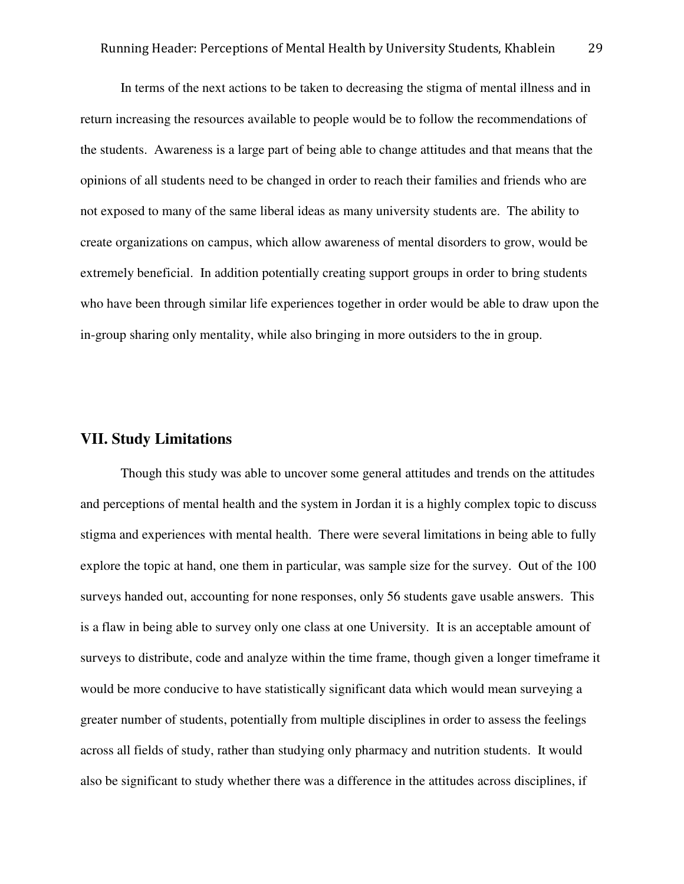In terms of the next actions to be taken to decreasing the stigma of mental illness and in return increasing the resources available to people would be to follow the recommendations of the students. Awareness is a large part of being able to change attitudes and that means that the opinions of all students need to be changed in order to reach their families and friends who are not exposed to many of the same liberal ideas as many university students are. The ability to create organizations on campus, which allow awareness of mental disorders to grow, would be extremely beneficial. In addition potentially creating support groups in order to bring students who have been through similar life experiences together in order would be able to draw upon the in-group sharing only mentality, while also bringing in more outsiders to the in group.

## **VII. Study Limitations**

 Though this study was able to uncover some general attitudes and trends on the attitudes and perceptions of mental health and the system in Jordan it is a highly complex topic to discuss stigma and experiences with mental health. There were several limitations in being able to fully explore the topic at hand, one them in particular, was sample size for the survey. Out of the 100 surveys handed out, accounting for none responses, only 56 students gave usable answers. This is a flaw in being able to survey only one class at one University. It is an acceptable amount of surveys to distribute, code and analyze within the time frame, though given a longer timeframe it would be more conducive to have statistically significant data which would mean surveying a greater number of students, potentially from multiple disciplines in order to assess the feelings across all fields of study, rather than studying only pharmacy and nutrition students. It would also be significant to study whether there was a difference in the attitudes across disciplines, if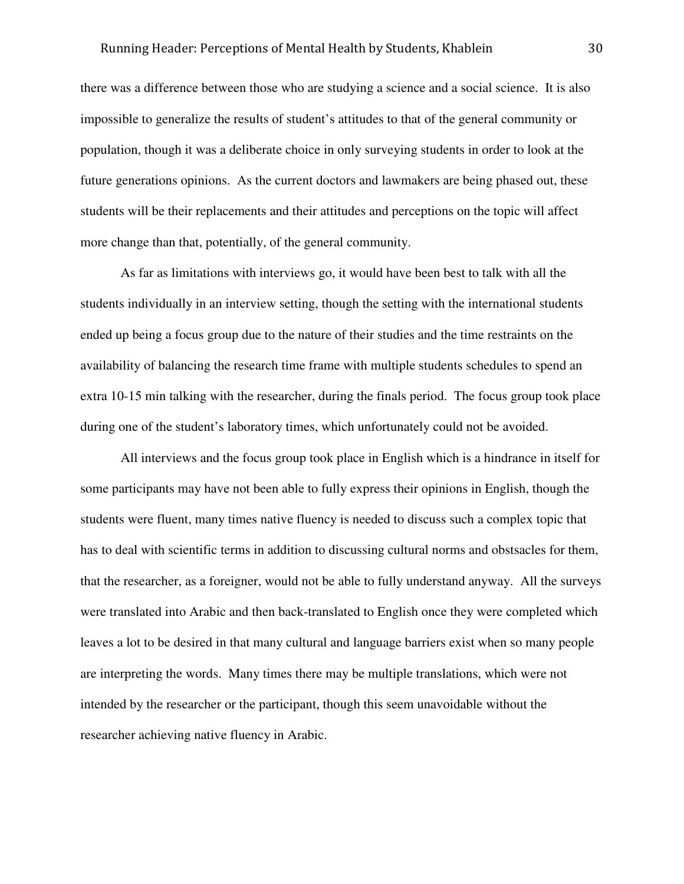there was a difference between those who are studying a science and a social science. It is also impossible to generalize the results of student's attitudes to that of the general community or population, though it was a deliberate choice in only surveying students in order to look at the future generations opinions. As the current doctors and lawmakers are being phased out, these students will be their replacements and their attitudes and perceptions on the topic will affect more change than that, potentially, of the general community.

 As far as limitations with interviews go, it would have been best to talk with all the students individually in an interview setting, though the setting with the international students ended up being a focus group due to the nature of their studies and the time restraints on the availability of balancing the research time frame with multiple students schedules to spend an extra 10-15 min talking with the researcher, during the finals period. The focus group took place during one of the student's laboratory times, which unfortunately could not be avoided.

 All interviews and the focus group took place in English which is a hindrance in itself for some participants may have not been able to fully express their opinions in English, though the students were fluent, many times native fluency is needed to discuss such a complex topic that has to deal with scientific terms in addition to discussing cultural norms and obstsacles for them, that the researcher, as a foreigner, would not be able to fully understand anyway. All the surveys were translated into Arabic and then back-translated to English once they were completed which leaves a lot to be desired in that many cultural and language barriers exist when so many people are interpreting the words. Many times there may be multiple translations, which were not intended by the researcher or the participant, though this seem unavoidable without the researcher achieving native fluency in Arabic.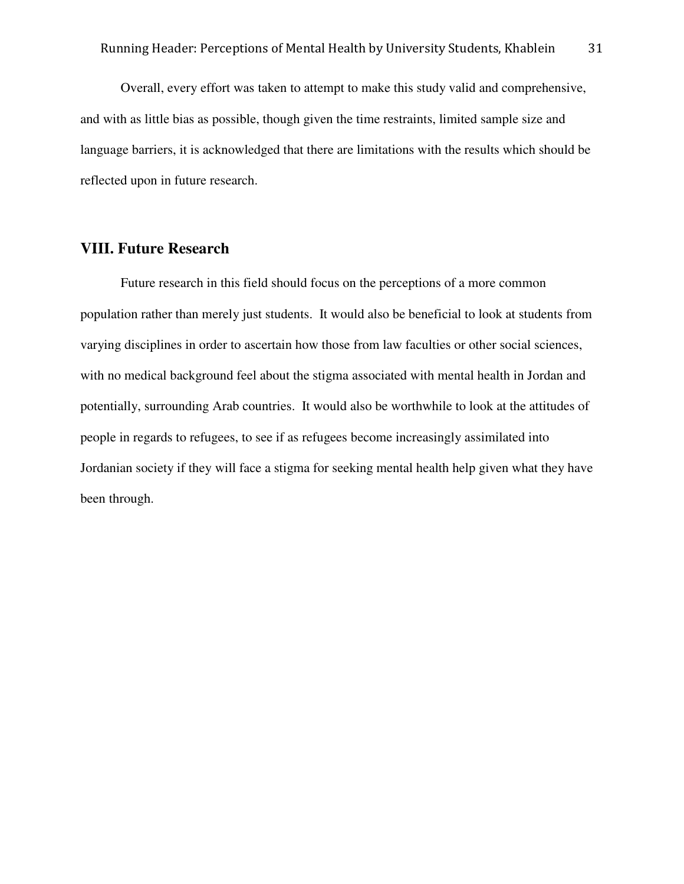Overall, every effort was taken to attempt to make this study valid and comprehensive, and with as little bias as possible, though given the time restraints, limited sample size and language barriers, it is acknowledged that there are limitations with the results which should be reflected upon in future research.

## **VIII. Future Research**

 Future research in this field should focus on the perceptions of a more common population rather than merely just students. It would also be beneficial to look at students from varying disciplines in order to ascertain how those from law faculties or other social sciences, with no medical background feel about the stigma associated with mental health in Jordan and potentially, surrounding Arab countries. It would also be worthwhile to look at the attitudes of people in regards to refugees, to see if as refugees become increasingly assimilated into Jordanian society if they will face a stigma for seeking mental health help given what they have been through.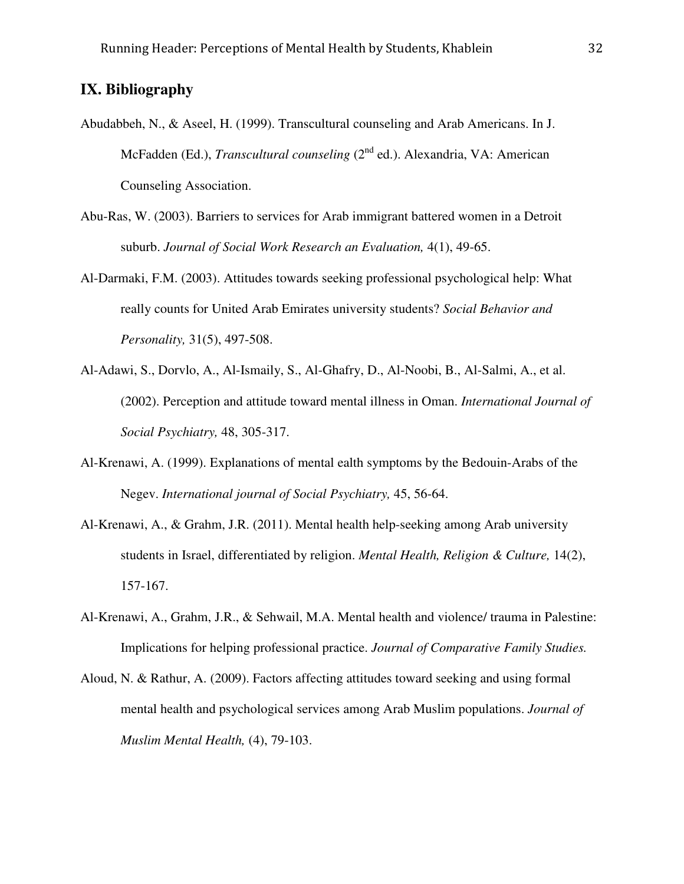## **IX. Bibliography**

- Abudabbeh, N., & Aseel, H. (1999). Transcultural counseling and Arab Americans. In J. McFadden (Ed.), *Transcultural counseling* (2nd ed.). Alexandria, VA: American Counseling Association.
- Abu-Ras, W. (2003). Barriers to services for Arab immigrant battered women in a Detroit suburb. *Journal of Social Work Research an Evaluation,* 4(1), 49-65.
- Al-Darmaki, F.M. (2003). Attitudes towards seeking professional psychological help: What really counts for United Arab Emirates university students? *Social Behavior and Personality,* 31(5), 497-508.
- Al-Adawi, S., Dorvlo, A., Al-Ismaily, S., Al-Ghafry, D., Al-Noobi, B., Al-Salmi, A., et al. (2002). Perception and attitude toward mental illness in Oman. *International Journal of Social Psychiatry,* 48, 305-317.
- Al-Krenawi, A. (1999). Explanations of mental ealth symptoms by the Bedouin-Arabs of the Negev. *International journal of Social Psychiatry,* 45, 56-64.
- Al-Krenawi, A., & Grahm, J.R. (2011). Mental health help-seeking among Arab university students in Israel, differentiated by religion. *Mental Health, Religion & Culture,* 14(2), 157-167.
- Al-Krenawi, A., Grahm, J.R., & Sehwail, M.A. Mental health and violence/ trauma in Palestine: Implications for helping professional practice. *Journal of Comparative Family Studies.*
- Aloud, N. & Rathur, A. (2009). Factors affecting attitudes toward seeking and using formal mental health and psychological services among Arab Muslim populations. *Journal of Muslim Mental Health,* (4), 79-103.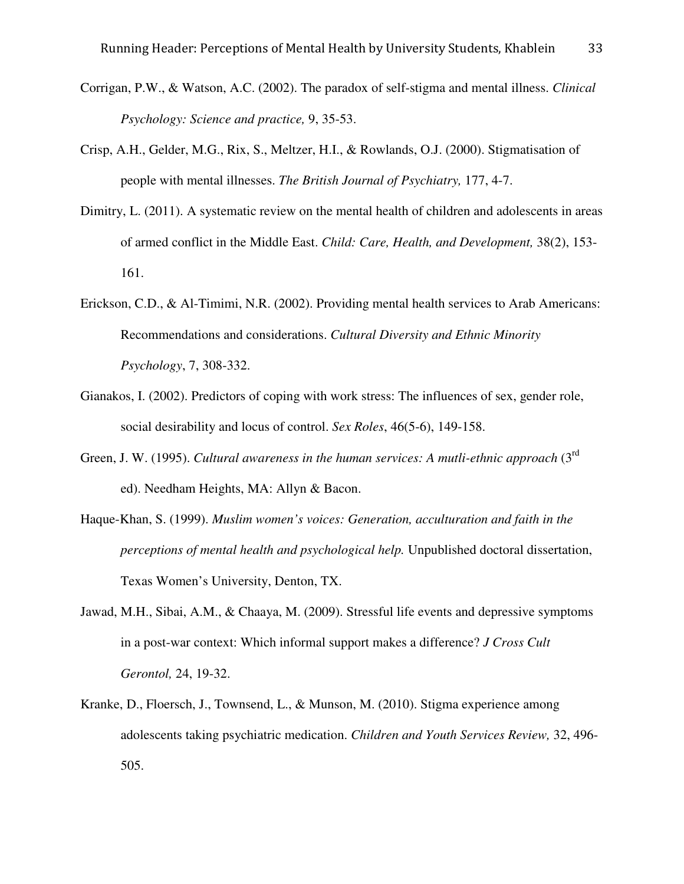- Corrigan, P.W., & Watson, A.C. (2002). The paradox of self-stigma and mental illness. *Clinical Psychology: Science and practice,* 9, 35-53.
- Crisp, A.H., Gelder, M.G., Rix, S., Meltzer, H.I., & Rowlands, O.J. (2000). Stigmatisation of people with mental illnesses. *The British Journal of Psychiatry,* 177, 4-7.
- Dimitry, L. (2011). A systematic review on the mental health of children and adolescents in areas of armed conflict in the Middle East. *Child: Care, Health, and Development,* 38(2), 153- 161.
- Erickson, C.D., & Al-Timimi, N.R. (2002). Providing mental health services to Arab Americans: Recommendations and considerations. *Cultural Diversity and Ethnic Minority Psychology*, 7, 308-332.
- Gianakos, I. (2002). Predictors of coping with work stress: The influences of sex, gender role, social desirability and locus of control. *Sex Roles*, 46(5-6), 149-158.
- Green, J. W. (1995). *Cultural awareness in the human services: A mutli-ethnic approach* (3rd ed). Needham Heights, MA: Allyn & Bacon.
- Haque-Khan, S. (1999). *Muslim women's voices: Generation, acculturation and faith in the perceptions of mental health and psychological help.* Unpublished doctoral dissertation, Texas Women's University, Denton, TX.
- Jawad, M.H., Sibai, A.M., & Chaaya, M. (2009). Stressful life events and depressive symptoms in a post-war context: Which informal support makes a difference? *J Cross Cult Gerontol,* 24, 19-32.
- Kranke, D., Floersch, J., Townsend, L., & Munson, M. (2010). Stigma experience among adolescents taking psychiatric medication. *Children and Youth Services Review,* 32, 496- 505.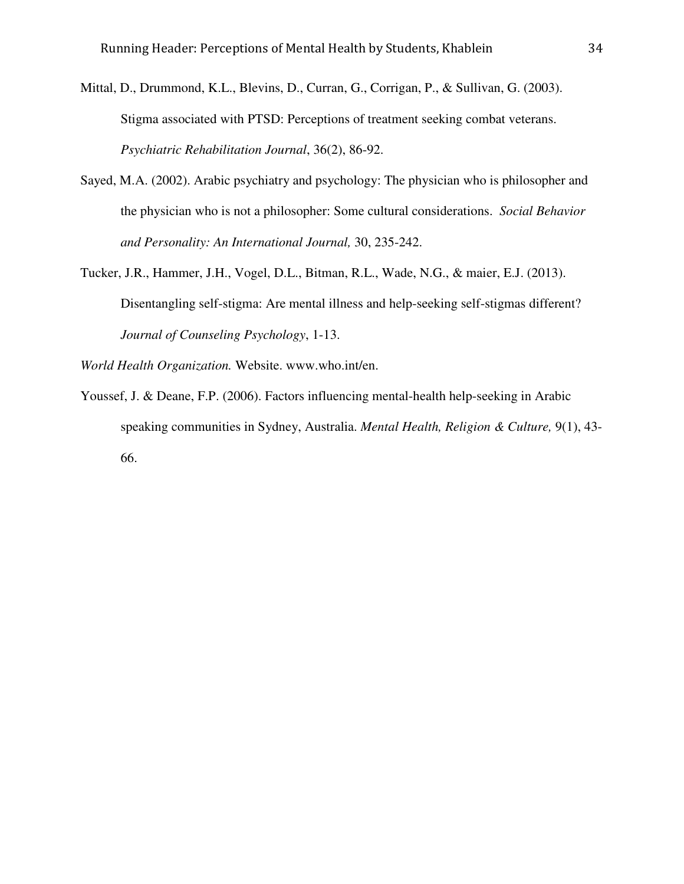- Mittal, D., Drummond, K.L., Blevins, D., Curran, G., Corrigan, P., & Sullivan, G. (2003). Stigma associated with PTSD: Perceptions of treatment seeking combat veterans. *Psychiatric Rehabilitation Journal*, 36(2), 86-92.
- Sayed, M.A. (2002). Arabic psychiatry and psychology: The physician who is philosopher and the physician who is not a philosopher: Some cultural considerations. *Social Behavior and Personality: An International Journal,* 30, 235-242.
- Tucker, J.R., Hammer, J.H., Vogel, D.L., Bitman, R.L., Wade, N.G., & maier, E.J. (2013). Disentangling self-stigma: Are mental illness and help-seeking self-stigmas different? *Journal of Counseling Psychology*, 1-13.

*World Health Organization.* Website. www.who.int/en.

Youssef, J. & Deane, F.P. (2006). Factors influencing mental-health help-seeking in Arabic speaking communities in Sydney, Australia. *Mental Health, Religion & Culture,* 9(1), 43- 66.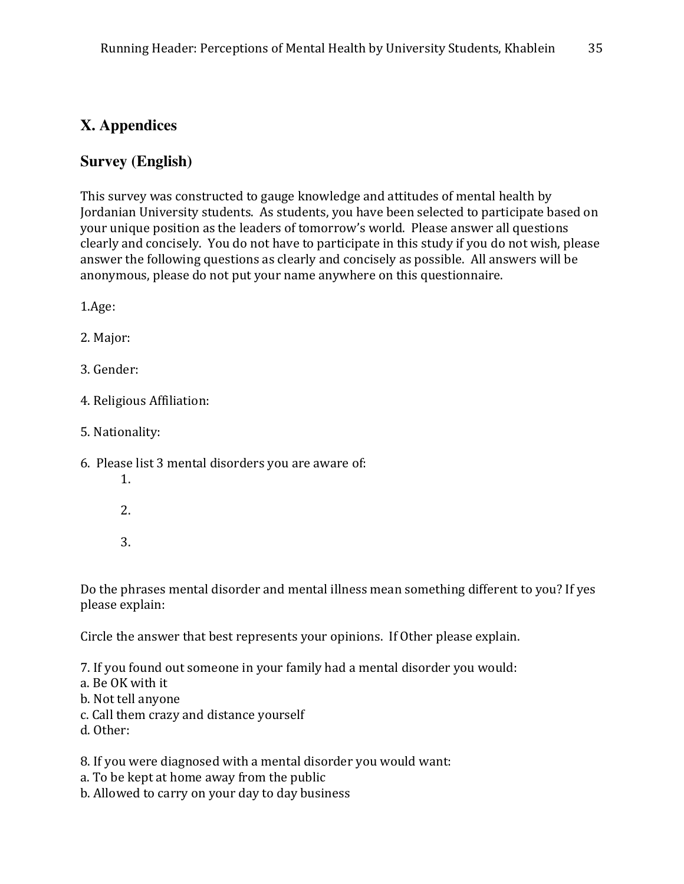## **X. Appendices**

## **Survey (English)**

This survey was constructed to gauge knowledge and attitudes of mental health by Jordanian University students. As students, you have been selected to participate based on your unique position as the leaders of tomorrow's world. Please answer all questions clearly and concisely. You do not have to participate in this study if you do not wish, please answer the following questions as clearly and concisely as possible. All answers will be anonymous, please do not put your name anywhere on this questionnaire.

1.Age:

- 2. Major:
- 3. Gender:
- 4. Religious Affiliation:
- 5. Nationality:
- 6. Please list 3 mental disorders you are aware of:
	- 1.
	- 2.
	- 3.

Do the phrases mental disorder and mental illness mean something different to you? If yes please explain:

Circle the answer that best represents your opinions. If Other please explain.

- 7. If you found out someone in your family had a mental disorder you would:
- a. Be OK with it
- b. Not tell anyone
- c. Call them crazy and distance yourself
- d. Other:

8. If you were diagnosed with a mental disorder you would want:

- a. To be kept at home away from the public
- b. Allowed to carry on your day to day business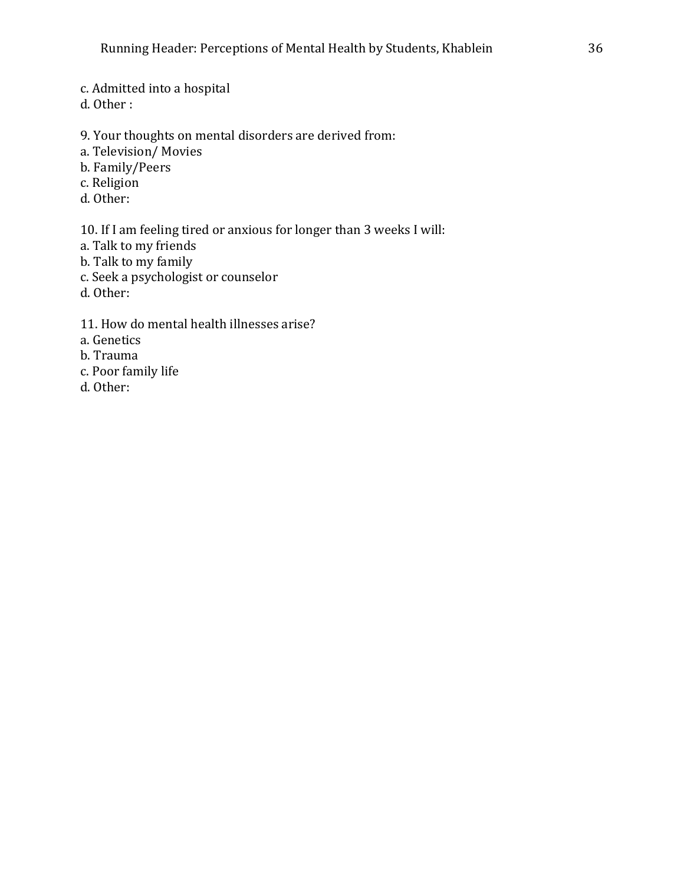c. Admitted into a hospital

d. Other :

- 9. Your thoughts on mental disorders are derived from:
- a. Television/ Movies
- b. Family/Peers
- c. Religion
- d. Other:

10. If I am feeling tired or anxious for longer than 3 weeks I will:

- a. Talk to my friends
- b. Talk to my family
- c. Seek a psychologist or counselor
- d. Other:
- 11. How do mental health illnesses arise?
- a. Genetics
- b. Trauma
- c. Poor family life
- d. Other: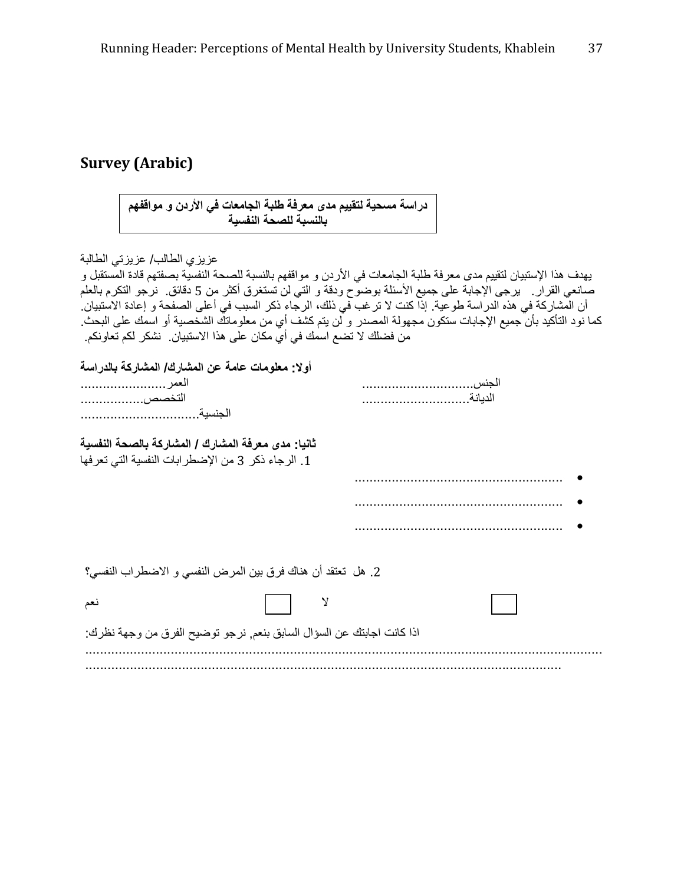## **Survey (Arabic)**

دراسة مسحية لتقييم مدى معرفة طلبة الجامعات في الأردن و مواقفهم<br>بالنسبة للصحة النفسية

| عزيزي الطالب/ عزيزتي الطالبة                                                                                       |  |
|--------------------------------------------------------------------------------------------------------------------|--|
| يهدف هذا الإستبيان لتقييم مدى معرفة طلبة الجامعات في الأردن و مواقفهم بالنسبة للصحة النفسية بصفتهم قادة المستقبل و |  |
| صانعي القرار .   برجي الإجابة على جميع الأسئلة بوضوح ودقة و التي لن تستغرق أكثر من 5 دقائق.  نرجو التكرم بالعلم    |  |
| أن المشاركة في هذه الدر اسة طوعية. إذا كنت لا تر غب في ذلك، الرجاء ذكر السبب في أعلى الصفحة و إعادة الاستبيان.     |  |
|                                                                                                                    |  |
| كما نود التأكيد بأن جميع الإجابات ستكون مجهولة المصدر و لن يتم كشف أي من معلوماتك الشخصية أو اسمك على البحث        |  |
| من فضلك لا تضـع اسمك فـي أي مكان علـي هذا الاستبيان_ نشكر لكم تعاونكم_                                             |  |
|                                                                                                                    |  |
| أولا: معلومات عامة عن المشارك/ المشاركة بالدراسة                                                                   |  |
| العمر                                                                                                              |  |
| التخصص                                                                                                             |  |
|                                                                                                                    |  |
|                                                                                                                    |  |
| ثانيا: مدى معرفة المشارك / المشاركة بالصحة النفسية                                                                 |  |
|                                                                                                                    |  |
| 1. الرجاء ذكر 3 من الإضطرابات النفسية التي تعرفها                                                                  |  |
|                                                                                                                    |  |
|                                                                                                                    |  |
|                                                                                                                    |  |
|                                                                                                                    |  |
|                                                                                                                    |  |
|                                                                                                                    |  |
|                                                                                                                    |  |
| 2. هل  تعتقد أن هناك فرق بين المرض النفسي و الاضطراب النفسي؟                                                       |  |
|                                                                                                                    |  |
| نعم                                                                                                                |  |
|                                                                                                                    |  |
| اذا كانت اجابتك عن السؤال السابق بنعم, نرجو توضيح الفرق من وجهة نظرك:                                              |  |
|                                                                                                                    |  |
|                                                                                                                    |  |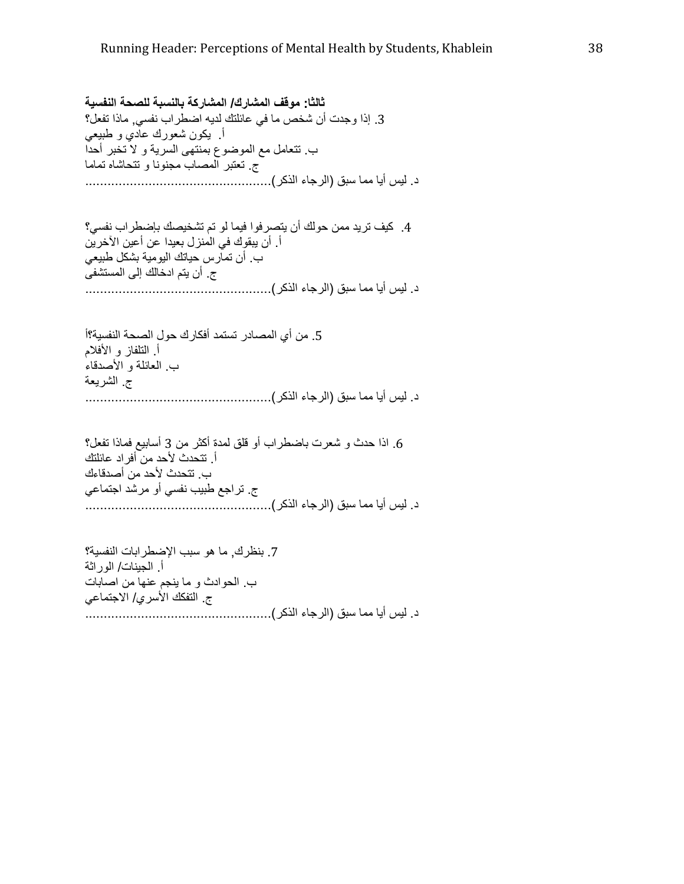ثالثا: موقف المشارك/ المشاركة بالنسبة للصحة النفسية 3. إذا وجدت أن شخص ما في عائلتك لديه اضطراب نفسي٬ ماذا تفعل؟ أ يكون شعورك عادي و طبيعي ب تتعامل مع الموضوع بمنتهى السرية و لا تخبر أحدا ج تعتبر المصـاب مجنونـا و تتـحاشاه تمـامـا . د -V أ # /
C) ا9,-ء ا1-آ,).................................................. 4. كيف تريد ممن حولك أن يتصرفوا فيما لو تم تشخيصك بإضطراب نفسي؟ أ ِ أن يبقوك في المنزل بعيدا عن أعين الآخرين ب أن تمارس حياتك اليومية بشكل طبيعي ج\_ أن يتم ادخالك إلى المستشفى . د -V أ # /
C) ا9,-ء ا1-آ,).................................................. 5. من أي المصـادر تستمد أفكارك حول الصـحة النفسية؟أ أ التلفاز و الأفلام ب العائلة و الأصدقاء ج الشريعة . د -V أ # /
C) ا9,-ء ا1-آ,).................................................. 6. اذا حدث و شعرت باضطراب أو قلق لمدة أكثر من 3 أسابيع فماذا تفعل؟ أ. تتحدث لأحد من أفراد عائلتك ب. تتحدث لأحد من أصدقاءك ج. تراجع طبيب نفسي أو مرشد اجتماعي . د -V أ # /
C) ا9,-ء ا1-آ,).................................................. 7. بنظرك, ما هو سبب الإضطرابات النفسية؟ أ الجينات/ الوراثة ب الحوادث و ما ينجم عنها من اصابات ج\_ التفكك الأسري/ الاجتماعي . د -V أ # /
C) ا9,-ء ا1-آ,)..................................................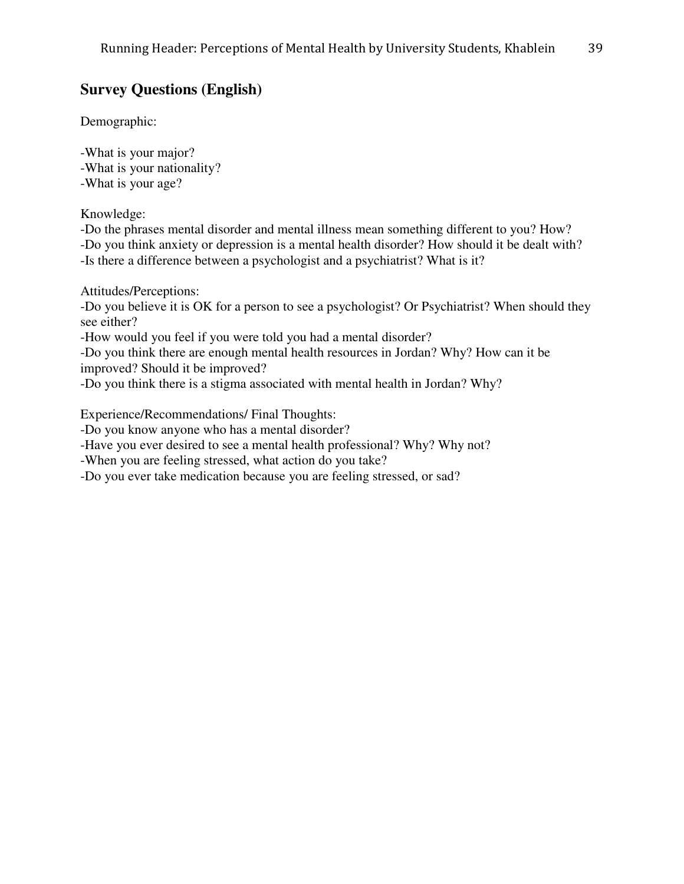## **Survey Questions (English)**

Demographic:

-What is your major? -What is your nationality? -What is your age?

Knowledge:

-Do the phrases mental disorder and mental illness mean something different to you? How? -Do you think anxiety or depression is a mental health disorder? How should it be dealt with? -Is there a difference between a psychologist and a psychiatrist? What is it?

Attitudes/Perceptions:

-Do you believe it is OK for a person to see a psychologist? Or Psychiatrist? When should they see either?

-How would you feel if you were told you had a mental disorder?

-Do you think there are enough mental health resources in Jordan? Why? How can it be improved? Should it be improved?

-Do you think there is a stigma associated with mental health in Jordan? Why?

Experience/Recommendations/ Final Thoughts:

-Do you know anyone who has a mental disorder?

-Have you ever desired to see a mental health professional? Why? Why not?

-When you are feeling stressed, what action do you take?

-Do you ever take medication because you are feeling stressed, or sad?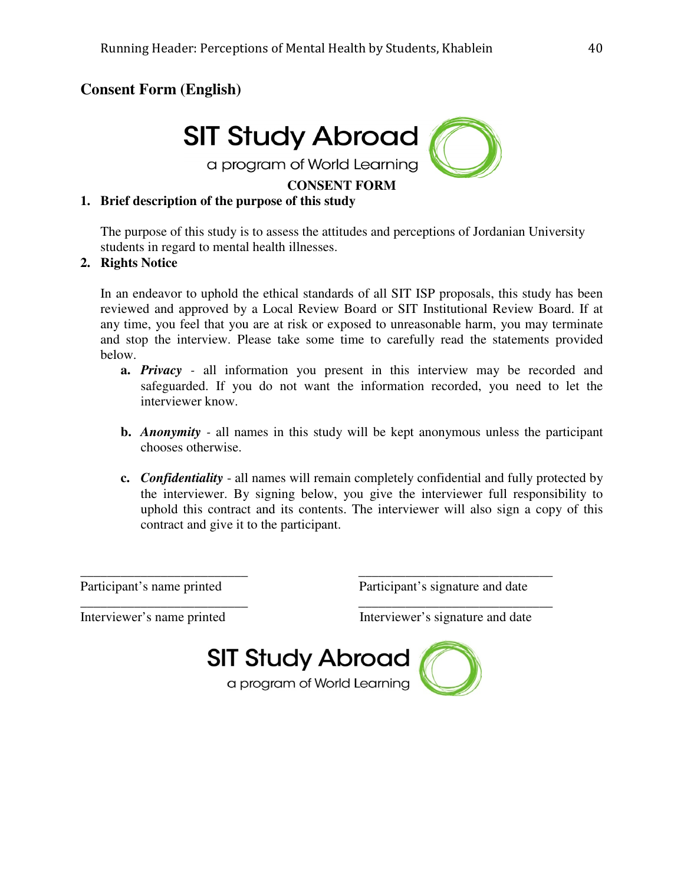## **Consent Form (English)**



#### **CONSENT FORM**

#### **1. Brief description of the purpose of this study**

The purpose of this study is to assess the attitudes and perceptions of Jordanian University students in regard to mental health illnesses.

#### **2. Rights Notice**

In an endeavor to uphold the ethical standards of all SIT ISP proposals, this study has been reviewed and approved by a Local Review Board or SIT Institutional Review Board. If at any time, you feel that you are at risk or exposed to unreasonable harm, you may terminate and stop the interview. Please take some time to carefully read the statements provided below.

- **a.** *Privacy* all information you present in this interview may be recorded and safeguarded. If you do not want the information recorded, you need to let the interviewer know.
- **b.** *Anonymity* all names in this study will be kept anonymous unless the participant chooses otherwise.
- **c.** *Confidentiality*  all names will remain completely confidential and fully protected by the interviewer. By signing below, you give the interviewer full responsibility to uphold this contract and its contents. The interviewer will also sign a copy of this contract and give it to the participant.

Participant's name printed Participant's signature and date

\_\_\_\_\_\_\_\_\_\_\_\_\_\_\_\_\_\_\_\_\_\_\_\_\_ \_\_\_\_\_\_\_\_\_\_\_\_\_\_\_\_\_\_\_\_\_\_\_\_\_\_\_\_\_

Interviewer's name printed Interviewer's signature and date



\_\_\_\_\_\_\_\_\_\_\_\_\_\_\_\_\_\_\_\_\_\_\_\_\_ \_\_\_\_\_\_\_\_\_\_\_\_\_\_\_\_\_\_\_\_\_\_\_\_\_\_\_\_\_